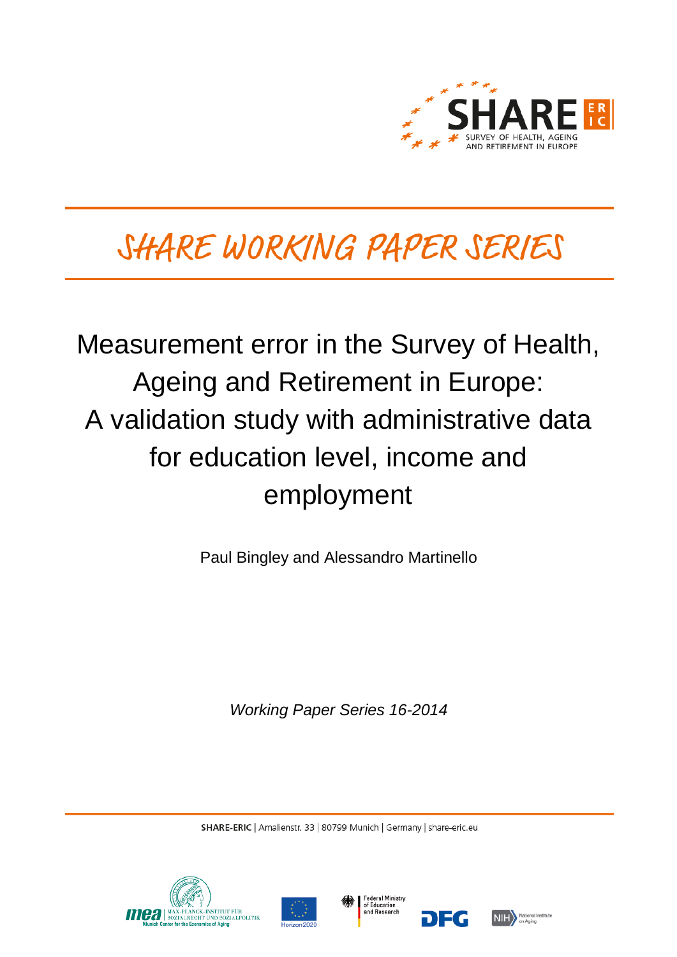

# SHARE WORKING PAPER SERIES

# Measurement error in the Survey of Health, Ageing and Retirement in Europe: A validation study with administrative data for education level, income and employment

Paul Bingley and Alessandro Martinello

*Working Paper Series 16-2014*

SHARE-ERIC | Amalienstr. 33 | 80799 Munich | Germany | share-eric.eu







DEG

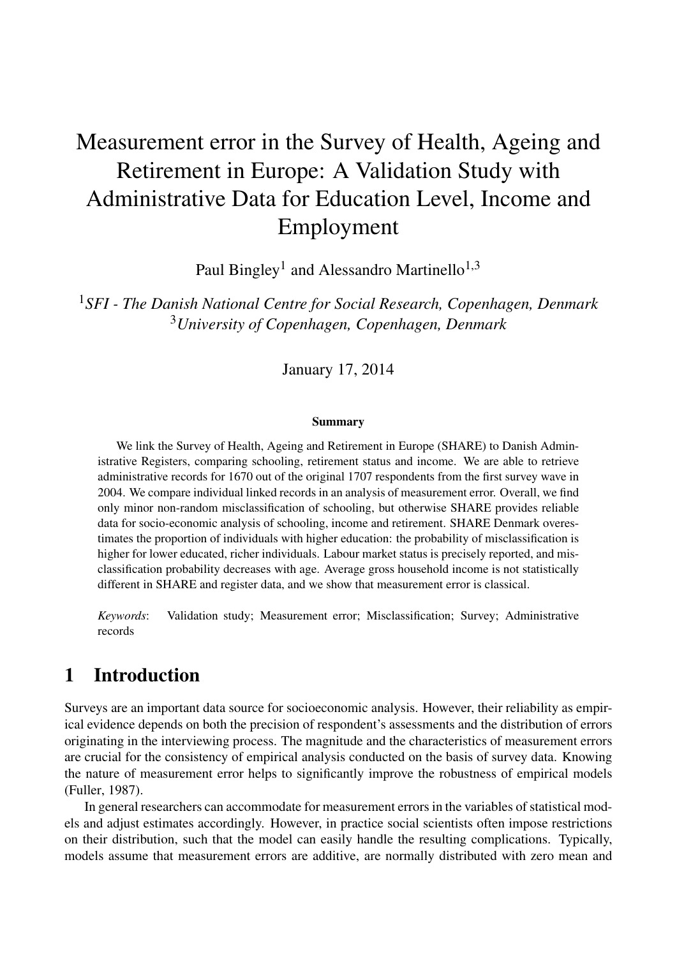## Measurement error in the Survey of Health, Ageing and Retirement in Europe: A Validation Study with Administrative Data for Education Level, Income and Employment

Paul Bingley<sup>1</sup> and Alessandro Martinello<sup>1,3</sup>

<sup>1</sup>*SFI - The Danish National Centre for Social Research, Copenhagen, Denmark* <sup>3</sup>*University of Copenhagen, Copenhagen, Denmark*

January 17, 2014

#### Summary

We link the Survey of Health, Ageing and Retirement in Europe (SHARE) to Danish Administrative Registers, comparing schooling, retirement status and income. We are able to retrieve administrative records for 1670 out of the original 1707 respondents from the first survey wave in 2004. We compare individual linked records in an analysis of measurement error. Overall, we find only minor non-random misclassification of schooling, but otherwise SHARE provides reliable data for socio-economic analysis of schooling, income and retirement. SHARE Denmark overestimates the proportion of individuals with higher education: the probability of misclassification is higher for lower educated, richer individuals. Labour market status is precisely reported, and misclassification probability decreases with age. Average gross household income is not statistically different in SHARE and register data, and we show that measurement error is classical.

*Keywords*: Validation study; Measurement error; Misclassification; Survey; Administrative records

## 1 Introduction

Surveys are an important data source for socioeconomic analysis. However, their reliability as empirical evidence depends on both the precision of respondent's assessments and the distribution of errors originating in the interviewing process. The magnitude and the characteristics of measurement errors are crucial for the consistency of empirical analysis conducted on the basis of survey data. Knowing the nature of measurement error helps to significantly improve the robustness of empirical models [\(Fuller, 1987\)](#page-28-0).

In general researchers can accommodate for measurement errors in the variables of statistical models and adjust estimates accordingly. However, in practice social scientists often impose restrictions on their distribution, such that the model can easily handle the resulting complications. Typically, models assume that measurement errors are additive, are normally distributed with zero mean and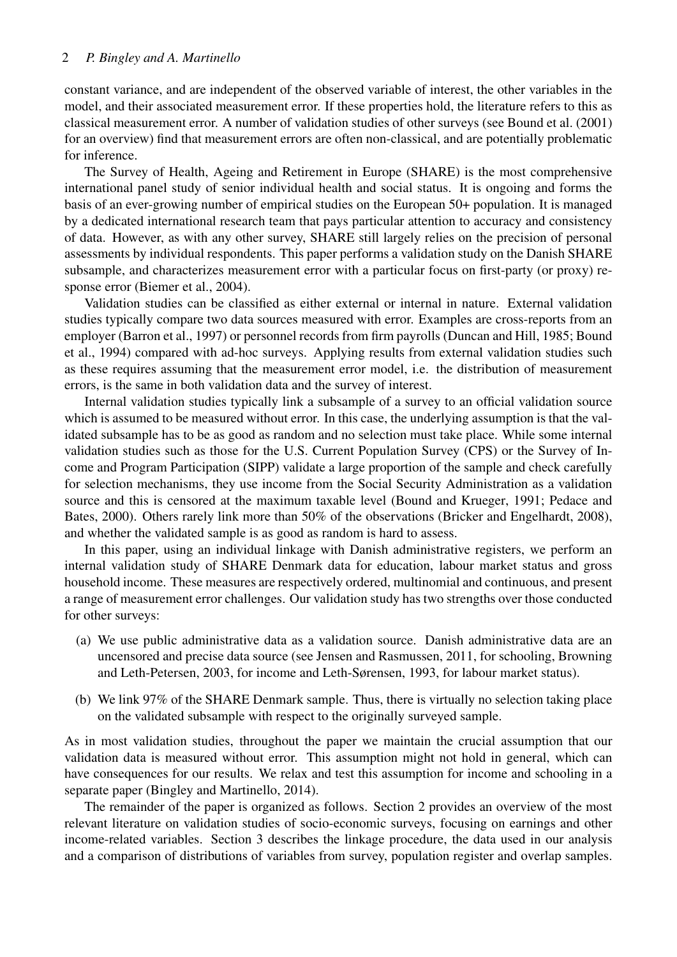#### 2 *P. Bingley and A. Martinello*

constant variance, and are independent of the observed variable of interest, the other variables in the model, and their associated measurement error. If these properties hold, the literature refers to this as classical measurement error. A number of validation studies of other surveys (see [Bound et al.](#page-27-0) [\(2001\)](#page-27-0) for an overview) find that measurement errors are often non-classical, and are potentially problematic for inference.

The Survey of Health, Ageing and Retirement in Europe (SHARE) is the most comprehensive international panel study of senior individual health and social status. It is ongoing and forms the basis of an ever-growing number of empirical studies on the European 50+ population. It is managed by a dedicated international research team that pays particular attention to accuracy and consistency of data. However, as with any other survey, SHARE still largely relies on the precision of personal assessments by individual respondents. This paper performs a validation study on the Danish SHARE subsample, and characterizes measurement error with a particular focus on first-party (or proxy) response error [\(Biemer et al., 2004\)](#page-27-1).

Validation studies can be classified as either external or internal in nature. External validation studies typically compare two data sources measured with error. Examples are cross-reports from an employer [\(Barron et al., 1997\)](#page-27-2) or personnel records from firm payrolls [\(Duncan and Hill, 1985;](#page-28-1) [Bound](#page-27-3) [et al., 1994\)](#page-27-3) compared with ad-hoc surveys. Applying results from external validation studies such as these requires assuming that the measurement error model, i.e. the distribution of measurement errors, is the same in both validation data and the survey of interest.

Internal validation studies typically link a subsample of a survey to an official validation source which is assumed to be measured without error. In this case, the underlying assumption is that the validated subsample has to be as good as random and no selection must take place. While some internal validation studies such as those for the U.S. Current Population Survey (CPS) or the Survey of Income and Program Participation (SIPP) validate a large proportion of the sample and check carefully for selection mechanisms, they use income from the Social Security Administration as a validation source and this is censored at the maximum taxable level [\(Bound and Krueger, 1991;](#page-28-2) [Pedace and](#page-28-3) [Bates, 2000\)](#page-28-3). Others rarely link more than 50% of the observations [\(Bricker and Engelhardt, 2008\)](#page-28-4), and whether the validated sample is as good as random is hard to assess.

In this paper, using an individual linkage with Danish administrative registers, we perform an internal validation study of SHARE Denmark data for education, labour market status and gross household income. These measures are respectively ordered, multinomial and continuous, and present a range of measurement error challenges. Our validation study has two strengths over those conducted for other surveys:

- (a) We use public administrative data as a validation source. Danish administrative data are an uncensored and precise data source (see [Jensen and Rasmussen, 2011,](#page-28-5) for schooling, [Browning](#page-28-6) [and Leth-Petersen, 2003,](#page-28-6) for income and [Leth-Sørensen, 1993,](#page-28-7) for labour market status).
- (b) We link 97% of the SHARE Denmark sample. Thus, there is virtually no selection taking place on the validated subsample with respect to the originally surveyed sample.

As in most validation studies, throughout the paper we maintain the crucial assumption that our validation data is measured without error. This assumption might not hold in general, which can have consequences for our results. We relax and test this assumption for income and schooling in a separate paper [\(Bingley and Martinello, 2014\)](#page-27-4).

The remainder of the paper is organized as follows. Section [2](#page-3-0) provides an overview of the most relevant literature on validation studies of socio-economic surveys, focusing on earnings and other income-related variables. Section [3](#page-4-0) describes the linkage procedure, the data used in our analysis and a comparison of distributions of variables from survey, population register and overlap samples.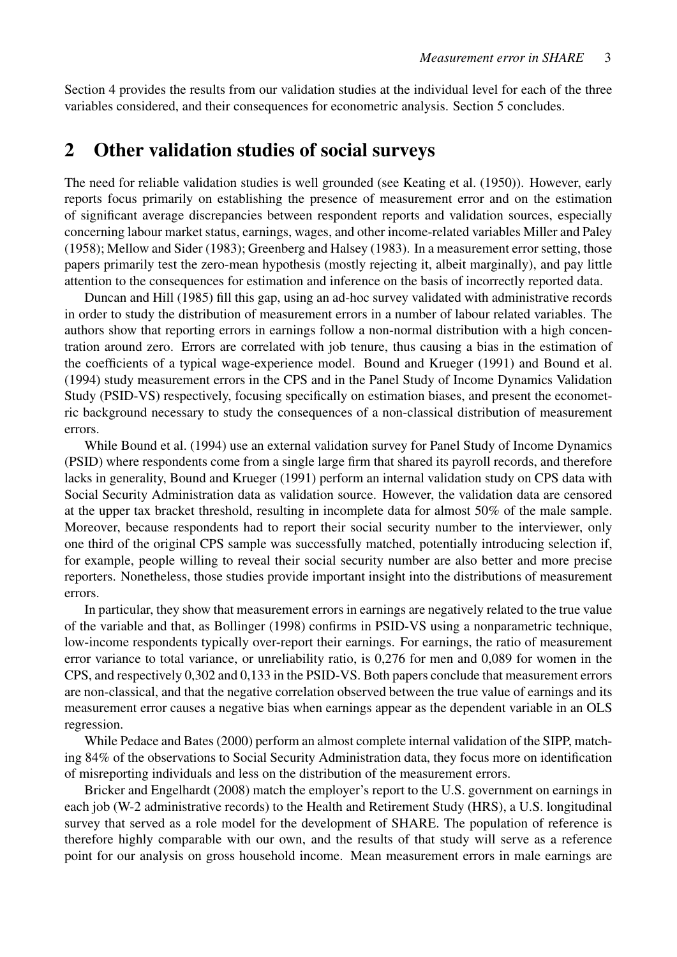Section [4](#page-13-0) provides the results from our validation studies at the individual level for each of the three variables considered, and their consequences for econometric analysis. Section [5](#page-26-0) concludes.

## <span id="page-3-0"></span>2 Other validation studies of social surveys

The need for reliable validation studies is well grounded (see [Keating et al.](#page-28-8) [\(1950\)](#page-28-8)). However, early reports focus primarily on establishing the presence of measurement error and on the estimation of significant average discrepancies between respondent reports and validation sources, especially concerning labour market status, earnings, wages, and other income-related variables [Miller and Paley](#page-28-9) [\(1958\)](#page-28-9); [Mellow and Sider](#page-28-10) [\(1983\)](#page-28-10); [Greenberg and Halsey](#page-28-11) [\(1983\)](#page-28-11). In a measurement error setting, those papers primarily test the zero-mean hypothesis (mostly rejecting it, albeit marginally), and pay little attention to the consequences for estimation and inference on the basis of incorrectly reported data.

[Duncan and Hill](#page-28-1) [\(1985\)](#page-28-1) fill this gap, using an ad-hoc survey validated with administrative records in order to study the distribution of measurement errors in a number of labour related variables. The authors show that reporting errors in earnings follow a non-normal distribution with a high concentration around zero. Errors are correlated with job tenure, thus causing a bias in the estimation of the coefficients of a typical wage-experience model. [Bound and Krueger](#page-28-2) [\(1991\)](#page-28-2) and [Bound et al.](#page-27-3) [\(1994\)](#page-27-3) study measurement errors in the CPS and in the Panel Study of Income Dynamics Validation Study (PSID-VS) respectively, focusing specifically on estimation biases, and present the econometric background necessary to study the consequences of a non-classical distribution of measurement errors.

While [Bound et al.](#page-27-3) [\(1994\)](#page-27-3) use an external validation survey for Panel Study of Income Dynamics (PSID) where respondents come from a single large firm that shared its payroll records, and therefore lacks in generality, [Bound and Krueger](#page-28-2) [\(1991\)](#page-28-2) perform an internal validation study on CPS data with Social Security Administration data as validation source. However, the validation data are censored at the upper tax bracket threshold, resulting in incomplete data for almost 50% of the male sample. Moreover, because respondents had to report their social security number to the interviewer, only one third of the original CPS sample was successfully matched, potentially introducing selection if, for example, people willing to reveal their social security number are also better and more precise reporters. Nonetheless, those studies provide important insight into the distributions of measurement errors.

In particular, they show that measurement errors in earnings are negatively related to the true value of the variable and that, as [Bollinger](#page-27-5) [\(1998\)](#page-27-5) confirms in PSID-VS using a nonparametric technique, low-income respondents typically over-report their earnings. For earnings, the ratio of measurement error variance to total variance, or unreliability ratio, is 0,276 for men and 0,089 for women in the CPS, and respectively 0,302 and 0,133 in the PSID-VS. Both papers conclude that measurement errors are non-classical, and that the negative correlation observed between the true value of earnings and its measurement error causes a negative bias when earnings appear as the dependent variable in an OLS regression.

While [Pedace and Bates](#page-28-3) [\(2000\)](#page-28-3) perform an almost complete internal validation of the SIPP, matching 84% of the observations to Social Security Administration data, they focus more on identification of misreporting individuals and less on the distribution of the measurement errors.

[Bricker and Engelhardt](#page-28-4) [\(2008\)](#page-28-4) match the employer's report to the U.S. government on earnings in each job (W-2 administrative records) to the Health and Retirement Study (HRS), a U.S. longitudinal survey that served as a role model for the development of SHARE. The population of reference is therefore highly comparable with our own, and the results of that study will serve as a reference point for our analysis on gross household income. Mean measurement errors in male earnings are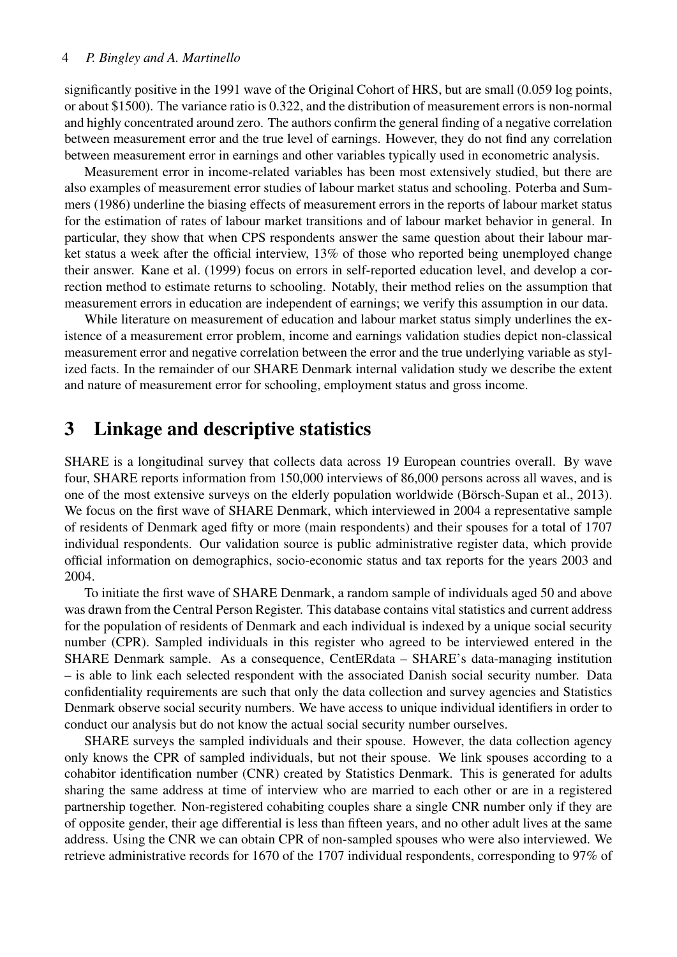#### 4 *P. Bingley and A. Martinello*

significantly positive in the 1991 wave of the Original Cohort of HRS, but are small (0.059 log points, or about \$1500). The variance ratio is 0.322, and the distribution of measurement errors is non-normal and highly concentrated around zero. The authors confirm the general finding of a negative correlation between measurement error and the true level of earnings. However, they do not find any correlation between measurement error in earnings and other variables typically used in econometric analysis.

Measurement error in income-related variables has been most extensively studied, but there are also examples of measurement error studies of labour market status and schooling. [Poterba and Sum](#page-28-12)[mers](#page-28-12) [\(1986\)](#page-28-12) underline the biasing effects of measurement errors in the reports of labour market status for the estimation of rates of labour market transitions and of labour market behavior in general. In particular, they show that when CPS respondents answer the same question about their labour market status a week after the official interview, 13% of those who reported being unemployed change their answer. [Kane et al.](#page-28-13) [\(1999\)](#page-28-13) focus on errors in self-reported education level, and develop a correction method to estimate returns to schooling. Notably, their method relies on the assumption that measurement errors in education are independent of earnings; we verify this assumption in our data.

While literature on measurement of education and labour market status simply underlines the existence of a measurement error problem, income and earnings validation studies depict non-classical measurement error and negative correlation between the error and the true underlying variable as stylized facts. In the remainder of our SHARE Denmark internal validation study we describe the extent and nature of measurement error for schooling, employment status and gross income.

## <span id="page-4-0"></span>3 Linkage and descriptive statistics

SHARE is a longitudinal survey that collects data across 19 European countries overall. By wave four, SHARE reports information from 150,000 interviews of 86,000 persons across all waves, and is one of the most extensive surveys on the elderly population worldwide [\(Börsch-Supan et al., 2013\)](#page-28-14). We focus on the first wave of SHARE Denmark, which interviewed in 2004 a representative sample of residents of Denmark aged fifty or more (main respondents) and their spouses for a total of 1707 individual respondents. Our validation source is public administrative register data, which provide official information on demographics, socio-economic status and tax reports for the years 2003 and 2004.

To initiate the first wave of SHARE Denmark, a random sample of individuals aged 50 and above was drawn from the Central Person Register. This database contains vital statistics and current address for the population of residents of Denmark and each individual is indexed by a unique social security number (CPR). Sampled individuals in this register who agreed to be interviewed entered in the SHARE Denmark sample. As a consequence, CentERdata – SHARE's data-managing institution – is able to link each selected respondent with the associated Danish social security number. Data confidentiality requirements are such that only the data collection and survey agencies and Statistics Denmark observe social security numbers. We have access to unique individual identifiers in order to conduct our analysis but do not know the actual social security number ourselves.

SHARE surveys the sampled individuals and their spouse. However, the data collection agency only knows the CPR of sampled individuals, but not their spouse. We link spouses according to a cohabitor identification number (CNR) created by Statistics Denmark. This is generated for adults sharing the same address at time of interview who are married to each other or are in a registered partnership together. Non-registered cohabiting couples share a single CNR number only if they are of opposite gender, their age differential is less than fifteen years, and no other adult lives at the same address. Using the CNR we can obtain CPR of non-sampled spouses who were also interviewed. We retrieve administrative records for 1670 of the 1707 individual respondents, corresponding to 97% of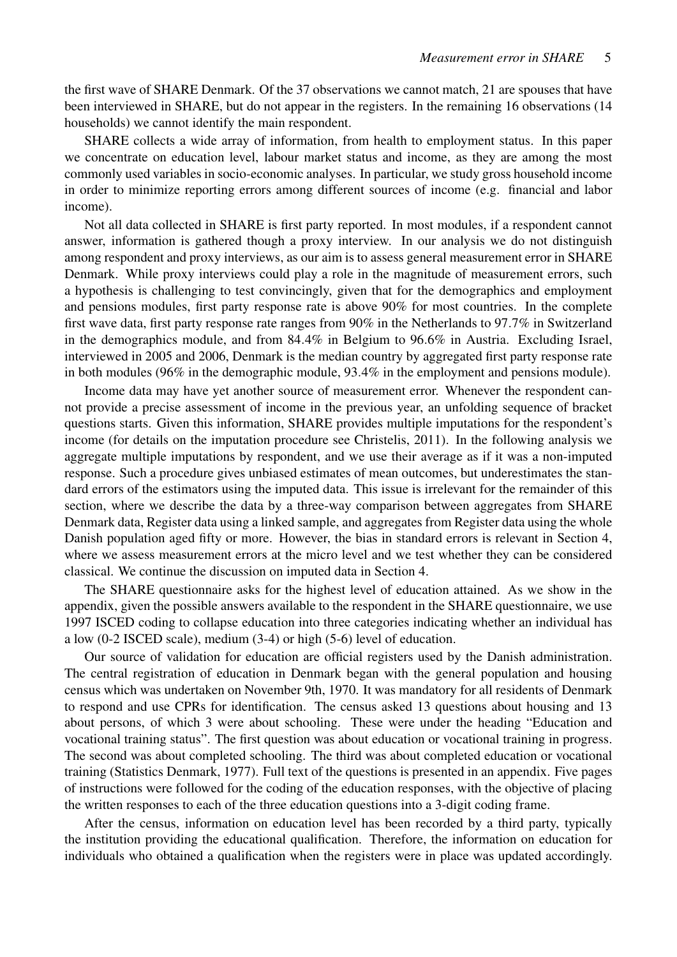the first wave of SHARE Denmark. Of the 37 observations we cannot match, 21 are spouses that have been interviewed in SHARE, but do not appear in the registers. In the remaining 16 observations (14 households) we cannot identify the main respondent.

SHARE collects a wide array of information, from health to employment status. In this paper we concentrate on education level, labour market status and income, as they are among the most commonly used variables in socio-economic analyses. In particular, we study gross household income in order to minimize reporting errors among different sources of income (e.g. financial and labor income).

Not all data collected in SHARE is first party reported. In most modules, if a respondent cannot answer, information is gathered though a proxy interview. In our analysis we do not distinguish among respondent and proxy interviews, as our aim is to assess general measurement error in SHARE Denmark. While proxy interviews could play a role in the magnitude of measurement errors, such a hypothesis is challenging to test convincingly, given that for the demographics and employment and pensions modules, first party response rate is above 90% for most countries. In the complete first wave data, first party response rate ranges from 90% in the Netherlands to 97.7% in Switzerland in the demographics module, and from 84.4% in Belgium to 96.6% in Austria. Excluding Israel, interviewed in 2005 and 2006, Denmark is the median country by aggregated first party response rate in both modules (96% in the demographic module, 93.4% in the employment and pensions module).

Income data may have yet another source of measurement error. Whenever the respondent cannot provide a precise assessment of income in the previous year, an unfolding sequence of bracket questions starts. Given this information, SHARE provides multiple imputations for the respondent's income (for details on the imputation procedure see [Christelis, 2011\)](#page-28-15). In the following analysis we aggregate multiple imputations by respondent, and we use their average as if it was a non-imputed response. Such a procedure gives unbiased estimates of mean outcomes, but underestimates the standard errors of the estimators using the imputed data. This issue is irrelevant for the remainder of this section, where we describe the data by a three-way comparison between aggregates from SHARE Denmark data, Register data using a linked sample, and aggregates from Register data using the whole Danish population aged fifty or more. However, the bias in standard errors is relevant in Section [4,](#page-13-0) where we assess measurement errors at the micro level and we test whether they can be considered classical. We continue the discussion on imputed data in Section [4.](#page-13-0)

The SHARE questionnaire asks for the highest level of education attained. As we show in the appendix, given the possible answers available to the respondent in the SHARE questionnaire, we use 1997 ISCED coding to collapse education into three categories indicating whether an individual has a low (0-2 ISCED scale), medium (3-4) or high (5-6) level of education.

Our source of validation for education are official registers used by the Danish administration. The central registration of education in Denmark began with the general population and housing census which was undertaken on November 9th, 1970. It was mandatory for all residents of Denmark to respond and use CPRs for identification. The census asked 13 questions about housing and 13 about persons, of which 3 were about schooling. These were under the heading "Education and vocational training status". The first question was about education or vocational training in progress. The second was about completed schooling. The third was about completed education or vocational training [\(Statistics Denmark, 1977\)](#page-29-0). Full text of the questions is presented in an appendix. Five pages of instructions were followed for the coding of the education responses, with the objective of placing the written responses to each of the three education questions into a 3-digit coding frame.

After the census, information on education level has been recorded by a third party, typically the institution providing the educational qualification. Therefore, the information on education for individuals who obtained a qualification when the registers were in place was updated accordingly.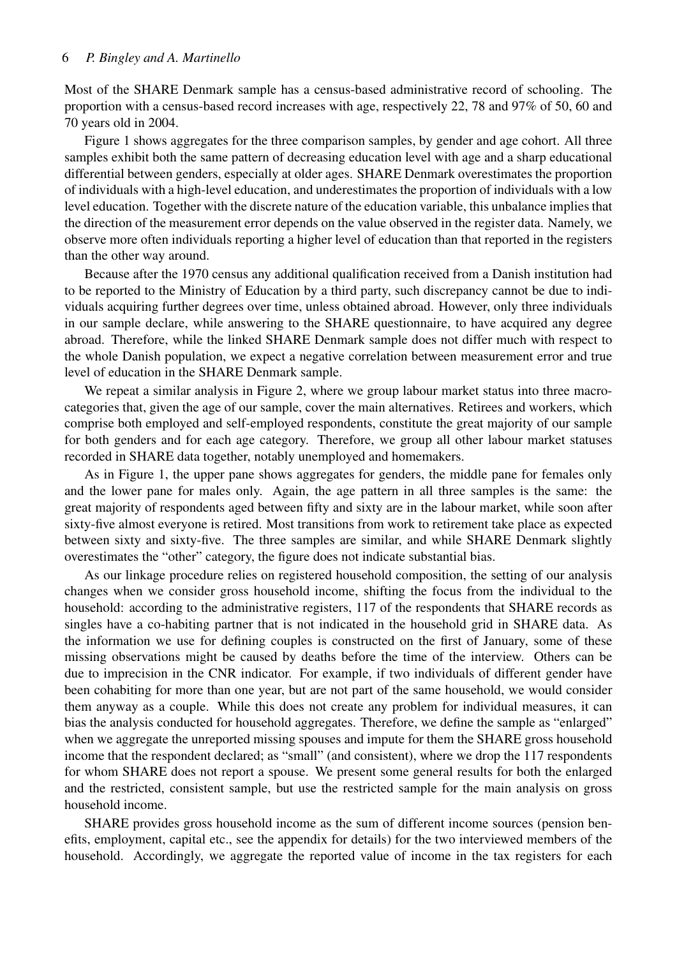Most of the SHARE Denmark sample has a census-based administrative record of schooling. The proportion with a census-based record increases with age, respectively 22, 78 and 97% of 50, 60 and 70 years old in 2004.

Figure [1](#page-7-0) shows aggregates for the three comparison samples, by gender and age cohort. All three samples exhibit both the same pattern of decreasing education level with age and a sharp educational differential between genders, especially at older ages. SHARE Denmark overestimates the proportion of individuals with a high-level education, and underestimates the proportion of individuals with a low level education. Together with the discrete nature of the education variable, this unbalance implies that the direction of the measurement error depends on the value observed in the register data. Namely, we observe more often individuals reporting a higher level of education than that reported in the registers than the other way around.

Because after the 1970 census any additional qualification received from a Danish institution had to be reported to the Ministry of Education by a third party, such discrepancy cannot be due to individuals acquiring further degrees over time, unless obtained abroad. However, only three individuals in our sample declare, while answering to the SHARE questionnaire, to have acquired any degree abroad. Therefore, while the linked SHARE Denmark sample does not differ much with respect to the whole Danish population, we expect a negative correlation between measurement error and true level of education in the SHARE Denmark sample.

We repeat a similar analysis in Figure [2,](#page-8-0) where we group labour market status into three macrocategories that, given the age of our sample, cover the main alternatives. Retirees and workers, which comprise both employed and self-employed respondents, constitute the great majority of our sample for both genders and for each age category. Therefore, we group all other labour market statuses recorded in SHARE data together, notably unemployed and homemakers.

As in Figure [1,](#page-7-0) the upper pane shows aggregates for genders, the middle pane for females only and the lower pane for males only. Again, the age pattern in all three samples is the same: the great majority of respondents aged between fifty and sixty are in the labour market, while soon after sixty-five almost everyone is retired. Most transitions from work to retirement take place as expected between sixty and sixty-five. The three samples are similar, and while SHARE Denmark slightly overestimates the "other" category, the figure does not indicate substantial bias.

As our linkage procedure relies on registered household composition, the setting of our analysis changes when we consider gross household income, shifting the focus from the individual to the household: according to the administrative registers, 117 of the respondents that SHARE records as singles have a co-habiting partner that is not indicated in the household grid in SHARE data. As the information we use for defining couples is constructed on the first of January, some of these missing observations might be caused by deaths before the time of the interview. Others can be due to imprecision in the CNR indicator. For example, if two individuals of different gender have been cohabiting for more than one year, but are not part of the same household, we would consider them anyway as a couple. While this does not create any problem for individual measures, it can bias the analysis conducted for household aggregates. Therefore, we define the sample as "enlarged" when we aggregate the unreported missing spouses and impute for them the SHARE gross household income that the respondent declared; as "small" (and consistent), where we drop the 117 respondents for whom SHARE does not report a spouse. We present some general results for both the enlarged and the restricted, consistent sample, but use the restricted sample for the main analysis on gross household income.

SHARE provides gross household income as the sum of different income sources (pension benefits, employment, capital etc., see the appendix for details) for the two interviewed members of the household. Accordingly, we aggregate the reported value of income in the tax registers for each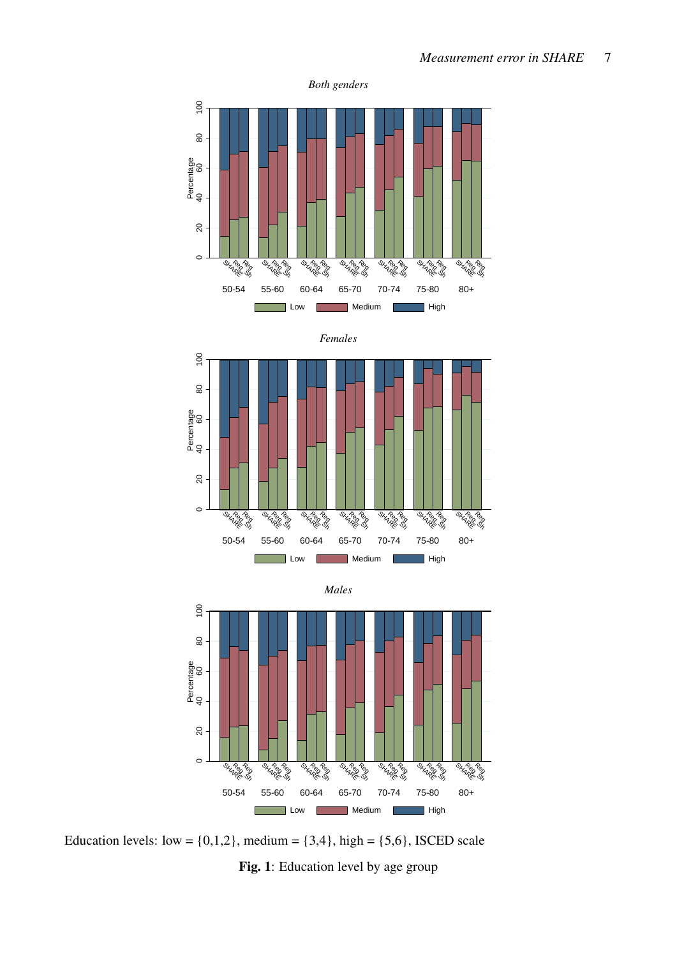<span id="page-7-0"></span>





Education levels: low =  $\{0,1,2\}$ , medium =  $\{3,4\}$ , high =  $\{5,6\}$ , ISCED scale Fig. 1: Education level by age group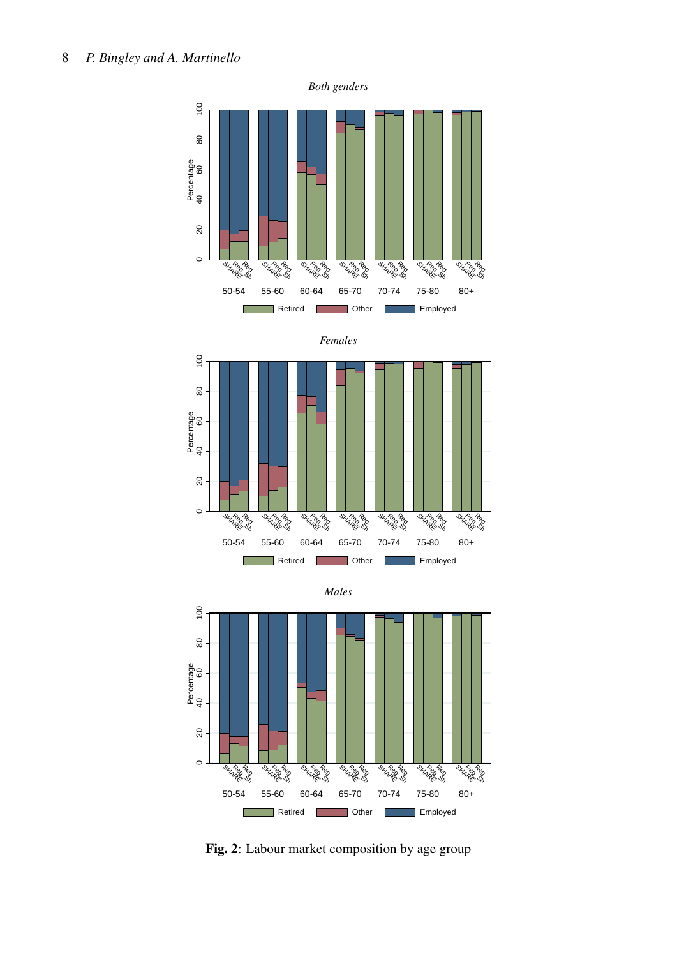<span id="page-8-0"></span>







Fig. 2: Labour market composition by age group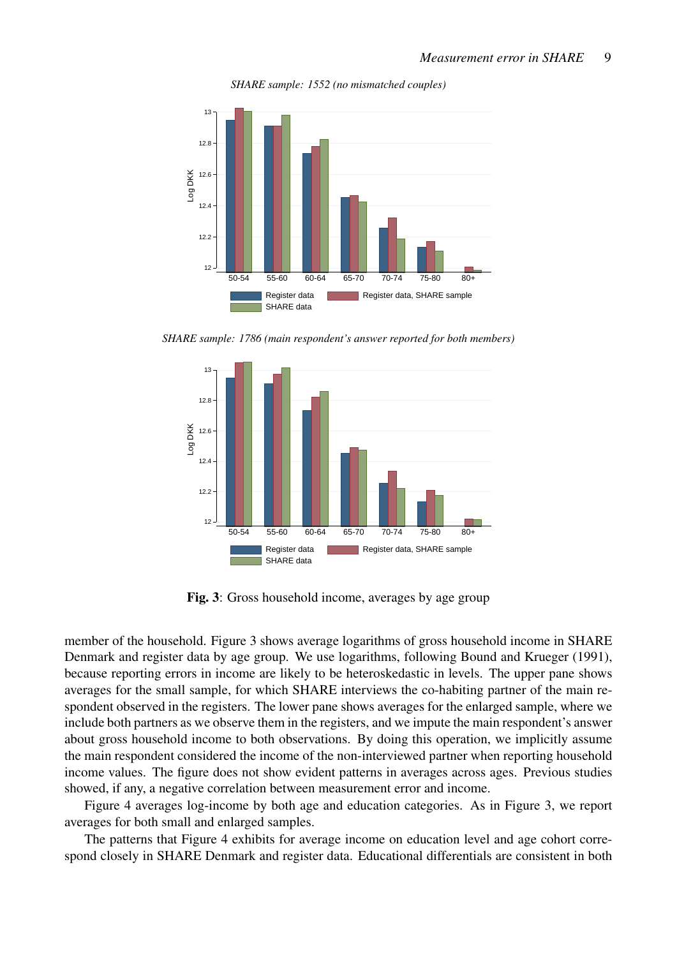

<span id="page-9-0"></span>

*SHARE sample: 1786 (main respondent's answer reported for both members)*



Fig. 3: Gross household income, averages by age group

member of the household. Figure [3](#page-9-0) shows average logarithms of gross household income in SHARE Denmark and register data by age group. We use logarithms, following [Bound and Krueger](#page-28-2) [\(1991\)](#page-28-2), because reporting errors in income are likely to be heteroskedastic in levels. The upper pane shows averages for the small sample, for which SHARE interviews the co-habiting partner of the main respondent observed in the registers. The lower pane shows averages for the enlarged sample, where we include both partners as we observe them in the registers, and we impute the main respondent's answer about gross household income to both observations. By doing this operation, we implicitly assume the main respondent considered the income of the non-interviewed partner when reporting household income values. The figure does not show evident patterns in averages across ages. Previous studies showed, if any, a negative correlation between measurement error and income.

Figure [4](#page-10-0) averages log-income by both age and education categories. As in Figure [3,](#page-9-0) we report averages for both small and enlarged samples.

The patterns that Figure [4](#page-10-0) exhibits for average income on education level and age cohort correspond closely in SHARE Denmark and register data. Educational differentials are consistent in both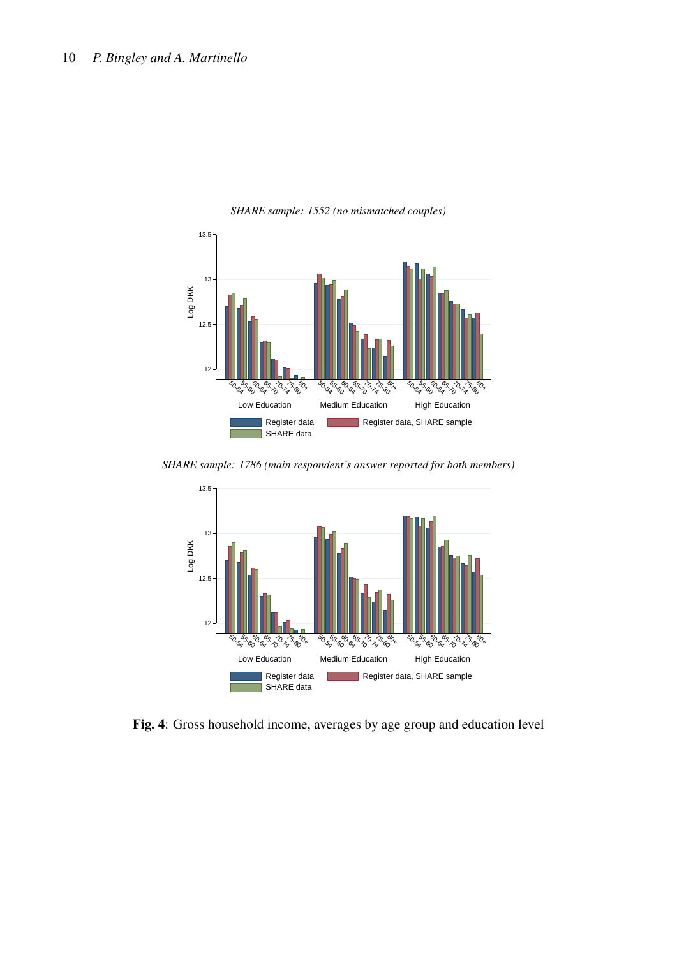<span id="page-10-0"></span>

*SHARE sample: 1552 (no mismatched couples)*

*SHARE sample: 1786 (main respondent's answer reported for both members)*



Fig. 4: Gross household income, averages by age group and education level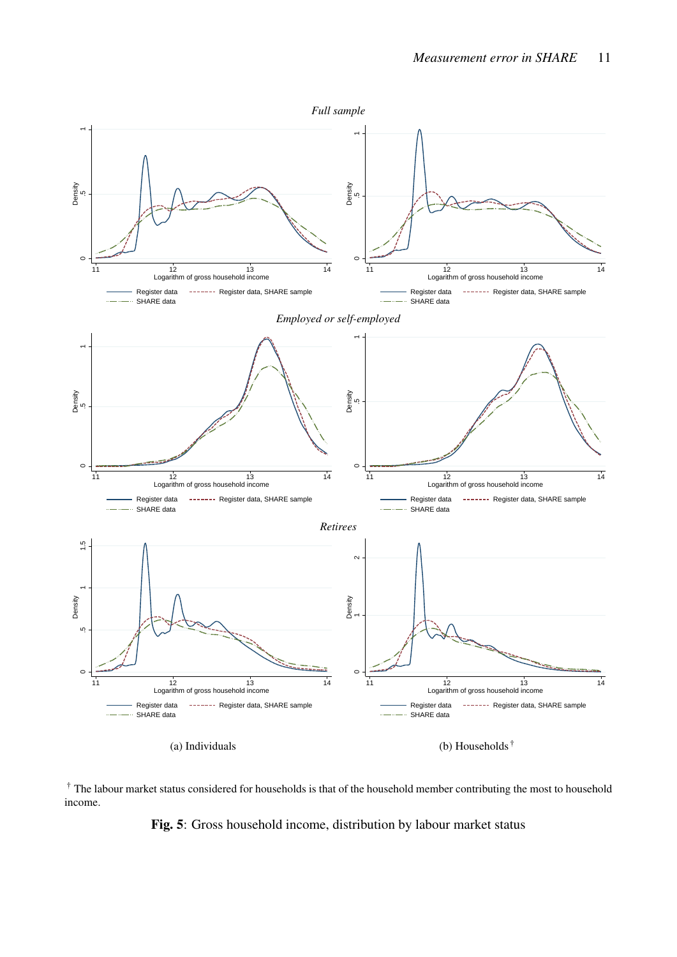<span id="page-11-0"></span>

<sup>†</sup> The labour market status considered for households is that of the household member contributing the most to household income.

Fig. 5: Gross household income, distribution by labour market status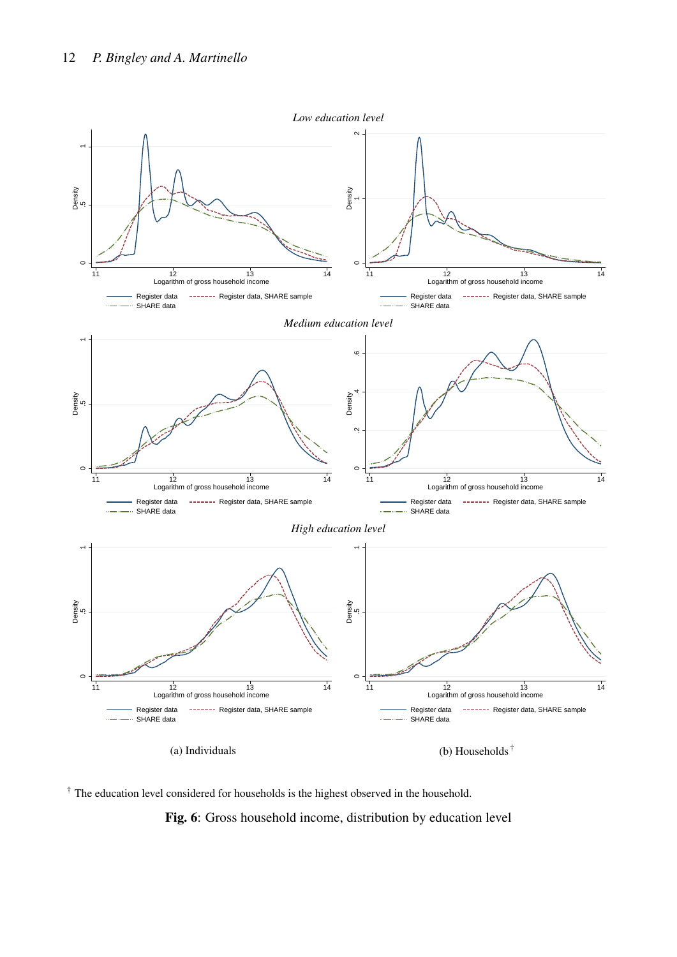<span id="page-12-0"></span>

† The education level considered for households is the highest observed in the household.

Fig. 6: Gross household income, distribution by education level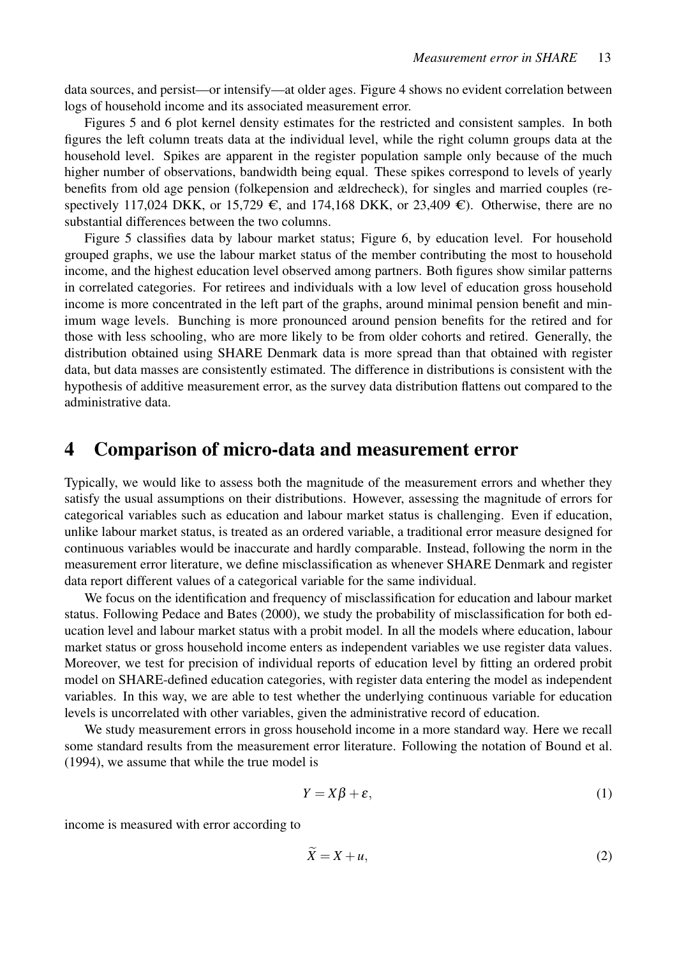data sources, and persist—or intensify—at older ages. Figure [4](#page-10-0) shows no evident correlation between logs of household income and its associated measurement error.

Figures [5](#page-11-0) and [6](#page-12-0) plot kernel density estimates for the restricted and consistent samples. In both figures the left column treats data at the individual level, while the right column groups data at the household level. Spikes are apparent in the register population sample only because of the much higher number of observations, bandwidth being equal. These spikes correspond to levels of yearly benefits from old age pension (folkepension and ældrecheck), for singles and married couples (respectively 117,024 DKK, or 15,729  $\epsilon$ , and 174,168 DKK, or 23,409  $\epsilon$ ). Otherwise, there are no substantial differences between the two columns.

Figure [5](#page-11-0) classifies data by labour market status; Figure [6,](#page-12-0) by education level. For household grouped graphs, we use the labour market status of the member contributing the most to household income, and the highest education level observed among partners. Both figures show similar patterns in correlated categories. For retirees and individuals with a low level of education gross household income is more concentrated in the left part of the graphs, around minimal pension benefit and minimum wage levels. Bunching is more pronounced around pension benefits for the retired and for those with less schooling, who are more likely to be from older cohorts and retired. Generally, the distribution obtained using SHARE Denmark data is more spread than that obtained with register data, but data masses are consistently estimated. The difference in distributions is consistent with the hypothesis of additive measurement error, as the survey data distribution flattens out compared to the administrative data.

## <span id="page-13-0"></span>4 Comparison of micro-data and measurement error

Typically, we would like to assess both the magnitude of the measurement errors and whether they satisfy the usual assumptions on their distributions. However, assessing the magnitude of errors for categorical variables such as education and labour market status is challenging. Even if education, unlike labour market status, is treated as an ordered variable, a traditional error measure designed for continuous variables would be inaccurate and hardly comparable. Instead, following the norm in the measurement error literature, we define misclassification as whenever SHARE Denmark and register data report different values of a categorical variable for the same individual.

We focus on the identification and frequency of misclassification for education and labour market status. Following [Pedace and Bates](#page-28-3) [\(2000\)](#page-28-3), we study the probability of misclassification for both education level and labour market status with a probit model. In all the models where education, labour market status or gross household income enters as independent variables we use register data values. Moreover, we test for precision of individual reports of education level by fitting an ordered probit model on SHARE-defined education categories, with register data entering the model as independent variables. In this way, we are able to test whether the underlying continuous variable for education levels is uncorrelated with other variables, given the administrative record of education.

We study measurement errors in gross household income in a more standard way. Here we recall some standard results from the measurement error literature. Following the notation of [Bound et al.](#page-27-3) [\(1994\)](#page-27-3), we assume that while the true model is

$$
Y = X\beta + \varepsilon,\tag{1}
$$

income is measured with error according to

$$
\tilde{X} = X + u,\tag{2}
$$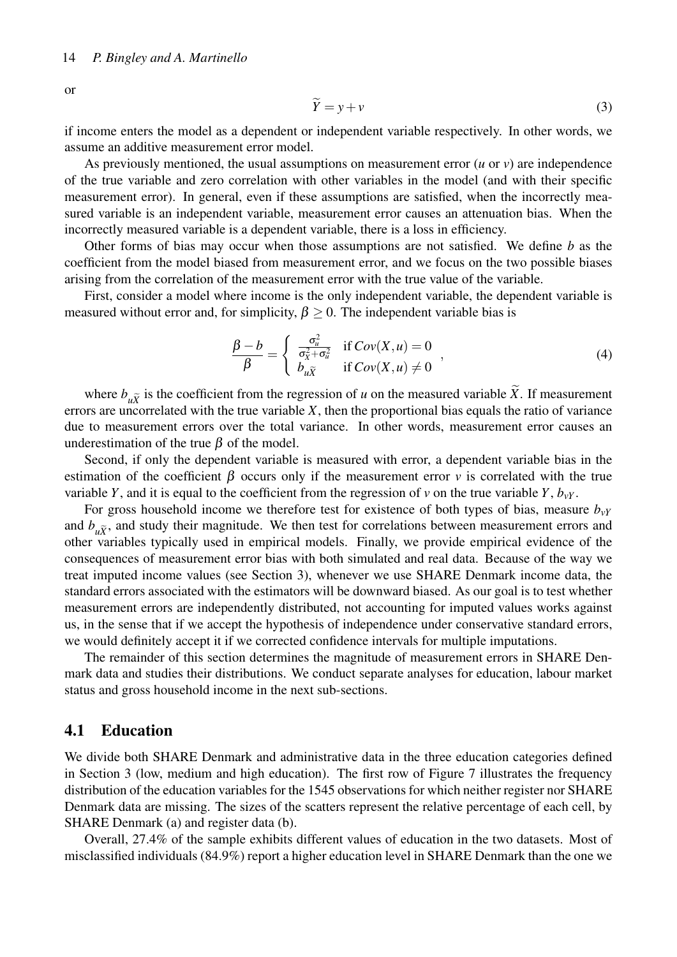or

$$
\widetilde{Y} = y + v \tag{3}
$$

if income enters the model as a dependent or independent variable respectively. In other words, we assume an additive measurement error model.

As previously mentioned, the usual assumptions on measurement error (*u* or *v*) are independence of the true variable and zero correlation with other variables in the model (and with their specific measurement error). In general, even if these assumptions are satisfied, when the incorrectly measured variable is an independent variable, measurement error causes an attenuation bias. When the incorrectly measured variable is a dependent variable, there is a loss in efficiency.

Other forms of bias may occur when those assumptions are not satisfied. We define *b* as the coefficient from the model biased from measurement error, and we focus on the two possible biases arising from the correlation of the measurement error with the true value of the variable.

First, consider a model where income is the only independent variable, the dependent variable is measured without error and, for simplicity,  $\beta > 0$ . The independent variable bias is

<span id="page-14-0"></span>
$$
\frac{\beta - b}{\beta} = \begin{cases}\n\frac{\sigma_u^2}{\sigma_X^2 + \sigma_u^2} & \text{if } Cov(X, u) = 0 \\
b_{u\tilde{X}} & \text{if } Cov(X, u) \neq 0\n\end{cases},
$$
\n(4)

where  $b_{\mu\tilde{\chi}}$  is the coefficient from the regression of *u* on the measured variable *X*. If measurement errors are uncorrelated with the true variable *X*, then the proportional bias equals the ratio of variance due to measurement errors over the total variance. In other words, measurement error causes an underestimation of the true  $\beta$  of the model.

Second, if only the dependent variable is measured with error, a dependent variable bias in the estimation of the coefficient  $\beta$  occurs only if the measurement error *v* is correlated with the true variable *Y*, and it is equal to the coefficient from the regression of *v* on the true variable *Y*,  $b_v$ .

For gross household income we therefore test for existence of both types of bias, measure *bvY* and  $b_{\mu\tilde{\chi}}$ , and study their magnitude. We then test for correlations between measurement errors and other variables typically used in empirical models. Finally, we provide empirical evidence of the consequences of measurement error bias with both simulated and real data. Because of the way we treat imputed income values (see Section [3\)](#page-4-0), whenever we use SHARE Denmark income data, the standard errors associated with the estimators will be downward biased. As our goal is to test whether measurement errors are independently distributed, not accounting for imputed values works against us, in the sense that if we accept the hypothesis of independence under conservative standard errors, we would definitely accept it if we corrected confidence intervals for multiple imputations.

The remainder of this section determines the magnitude of measurement errors in SHARE Denmark data and studies their distributions. We conduct separate analyses for education, labour market status and gross household income in the next sub-sections.

#### 4.1 Education

We divide both SHARE Denmark and administrative data in the three education categories defined in Section 3 (low, medium and high education). The first row of Figure [7](#page-15-0) illustrates the frequency distribution of the education variables for the 1545 observations for which neither register nor SHARE Denmark data are missing. The sizes of the scatters represent the relative percentage of each cell, by SHARE Denmark (a) and register data (b).

Overall, 27.4% of the sample exhibits different values of education in the two datasets. Most of misclassified individuals (84.9%) report a higher education level in SHARE Denmark than the one we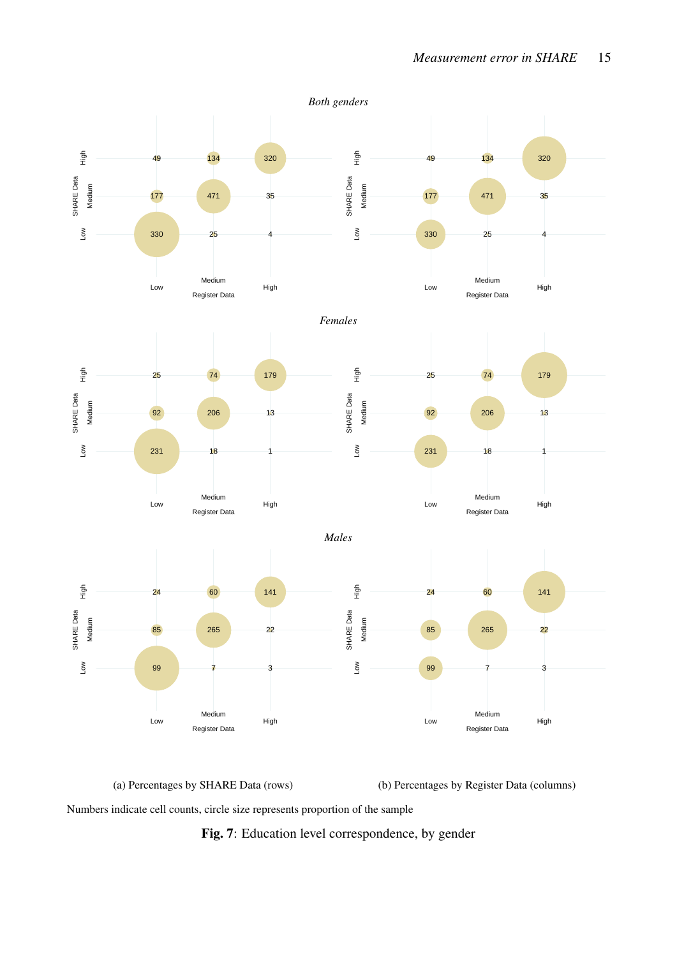<span id="page-15-0"></span>

(a) Percentages by SHARE Data (rows) (b) Percentages by Register Data (columns)

Numbers indicate cell counts, circle size represents proportion of the sample

Fig. 7: Education level correspondence, by gender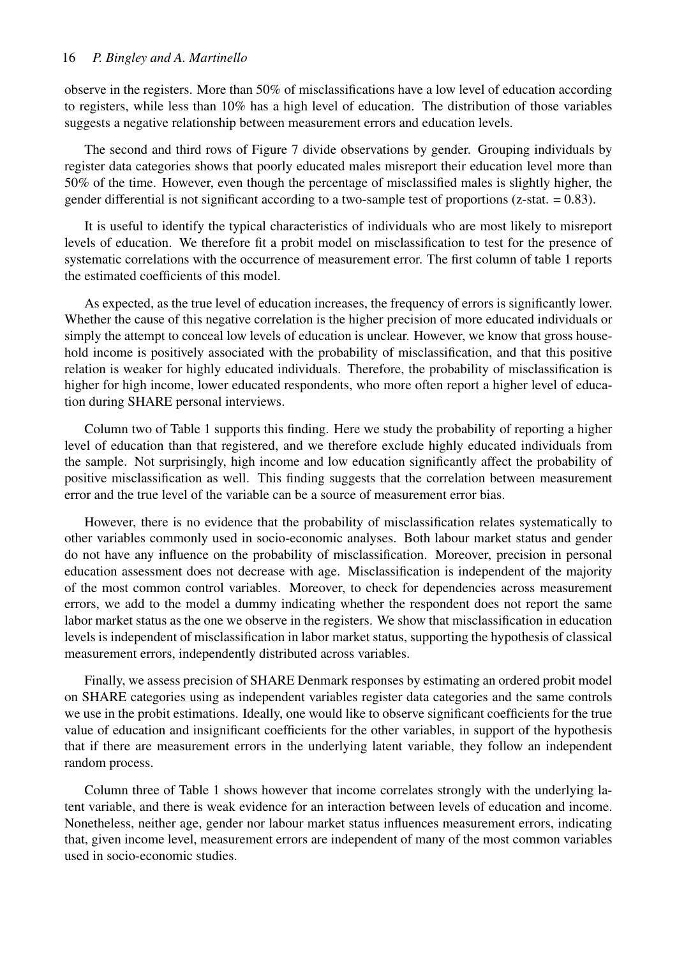#### 16 *P. Bingley and A. Martinello*

observe in the registers. More than 50% of misclassifications have a low level of education according to registers, while less than 10% has a high level of education. The distribution of those variables suggests a negative relationship between measurement errors and education levels.

The second and third rows of Figure [7](#page-15-0) divide observations by gender. Grouping individuals by register data categories shows that poorly educated males misreport their education level more than 50% of the time. However, even though the percentage of misclassified males is slightly higher, the gender differential is not significant according to a two-sample test of proportions (z-stat. = 0.83).

It is useful to identify the typical characteristics of individuals who are most likely to misreport levels of education. We therefore fit a probit model on misclassification to test for the presence of systematic correlations with the occurrence of measurement error. The first column of table [1](#page-17-0) reports the estimated coefficients of this model.

As expected, as the true level of education increases, the frequency of errors is significantly lower. Whether the cause of this negative correlation is the higher precision of more educated individuals or simply the attempt to conceal low levels of education is unclear. However, we know that gross household income is positively associated with the probability of misclassification, and that this positive relation is weaker for highly educated individuals. Therefore, the probability of misclassification is higher for high income, lower educated respondents, who more often report a higher level of education during SHARE personal interviews.

Column two of Table [1](#page-17-0) supports this finding. Here we study the probability of reporting a higher level of education than that registered, and we therefore exclude highly educated individuals from the sample. Not surprisingly, high income and low education significantly affect the probability of positive misclassification as well. This finding suggests that the correlation between measurement error and the true level of the variable can be a source of measurement error bias.

However, there is no evidence that the probability of misclassification relates systematically to other variables commonly used in socio-economic analyses. Both labour market status and gender do not have any influence on the probability of misclassification. Moreover, precision in personal education assessment does not decrease with age. Misclassification is independent of the majority of the most common control variables. Moreover, to check for dependencies across measurement errors, we add to the model a dummy indicating whether the respondent does not report the same labor market status as the one we observe in the registers. We show that misclassification in education levels is independent of misclassification in labor market status, supporting the hypothesis of classical measurement errors, independently distributed across variables.

Finally, we assess precision of SHARE Denmark responses by estimating an ordered probit model on SHARE categories using as independent variables register data categories and the same controls we use in the probit estimations. Ideally, one would like to observe significant coefficients for the true value of education and insignificant coefficients for the other variables, in support of the hypothesis that if there are measurement errors in the underlying latent variable, they follow an independent random process.

Column three of Table [1](#page-17-0) shows however that income correlates strongly with the underlying latent variable, and there is weak evidence for an interaction between levels of education and income. Nonetheless, neither age, gender nor labour market status influences measurement errors, indicating that, given income level, measurement errors are independent of many of the most common variables used in socio-economic studies.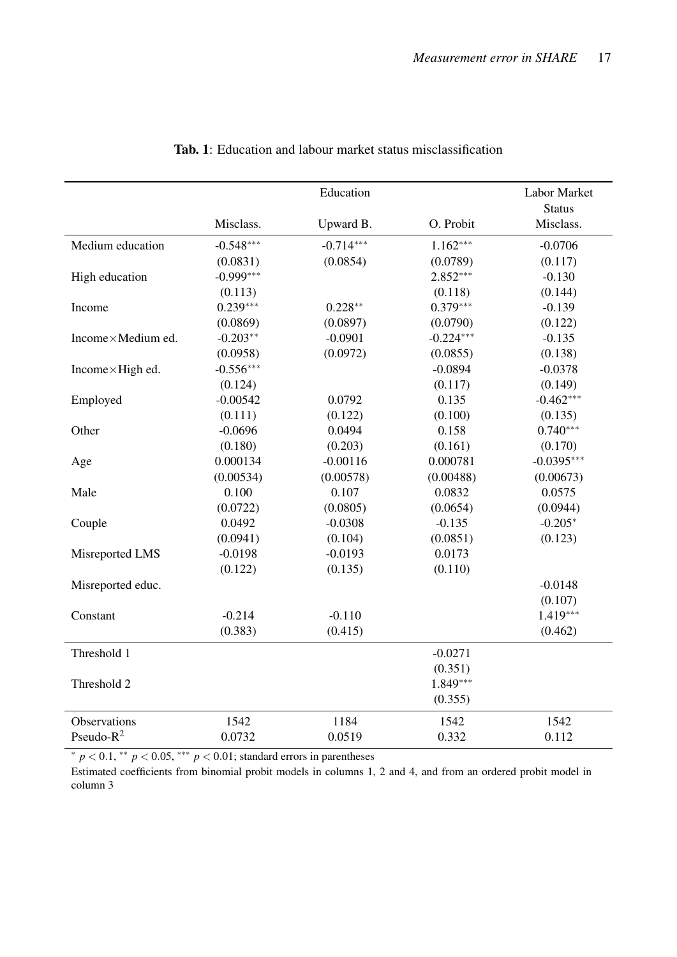<span id="page-17-0"></span>

|                          |             | Education   |             | Labor Market               |
|--------------------------|-------------|-------------|-------------|----------------------------|
|                          | Misclass.   | Upward B.   | O. Probit   | <b>Status</b><br>Misclass. |
| Medium education         | $-0.548***$ | $-0.714***$ | $1.162***$  | $-0.0706$                  |
|                          | (0.0831)    | (0.0854)    | (0.0789)    | (0.117)                    |
| High education           | $-0.999***$ |             | $2.852***$  | $-0.130$                   |
|                          | (0.113)     |             | (0.118)     | (0.144)                    |
| Income                   | $0.239***$  | $0.228**$   | $0.379***$  | $-0.139$                   |
|                          | (0.0869)    | (0.0897)    | (0.0790)    | (0.122)                    |
| Income×Medium ed.        | $-0.203**$  | $-0.0901$   | $-0.224***$ | $-0.135$                   |
|                          | (0.0958)    | (0.0972)    | (0.0855)    | (0.138)                    |
| Income $\times$ High ed. | $-0.556***$ |             | $-0.0894$   | $-0.0378$                  |
|                          | (0.124)     |             | (0.117)     | (0.149)                    |
| Employed                 | $-0.00542$  | 0.0792      | 0.135       | $-0.462***$                |
|                          | (0.111)     | (0.122)     | (0.100)     | (0.135)                    |
| Other                    | $-0.0696$   | 0.0494      | 0.158       | $0.740***$                 |
|                          | (0.180)     | (0.203)     | (0.161)     | (0.170)                    |
| Age                      | 0.000134    | $-0.00116$  | 0.000781    | $-0.0395***$               |
|                          | (0.00534)   | (0.00578)   | (0.00488)   | (0.00673)                  |
| Male                     | 0.100       | 0.107       | 0.0832      | 0.0575                     |
|                          | (0.0722)    | (0.0805)    | (0.0654)    | (0.0944)                   |
| Couple                   | 0.0492      | $-0.0308$   | $-0.135$    | $-0.205*$                  |
|                          | (0.0941)    | (0.104)     | (0.0851)    | (0.123)                    |
| Misreported LMS          | $-0.0198$   | $-0.0193$   | 0.0173      |                            |
|                          | (0.122)     | (0.135)     | (0.110)     |                            |
| Misreported educ.        |             |             |             | $-0.0148$                  |
|                          |             |             |             | (0.107)                    |
| Constant                 | $-0.214$    | $-0.110$    |             | $1.419***$                 |
|                          | (0.383)     | (0.415)     |             | (0.462)                    |
| Threshold 1              |             |             | $-0.0271$   |                            |
|                          |             |             | (0.351)     |                            |
| Threshold 2              |             |             | $1.849***$  |                            |
|                          |             |             | (0.355)     |                            |
| Observations             | 1542        | 1184        | 1542        | 1542                       |
| Pseudo- $R^2$            | 0.0732      | 0.0519      | 0.332       | 0.112                      |

#### Tab. 1: Education and labour market status misclassification

<sup>∗</sup> *p* < 0.1, ∗∗ *p* < 0.05, ∗∗∗ *p* < 0.01; standard errors in parentheses

Estimated coefficients from binomial probit models in columns 1, 2 and 4, and from an ordered probit model in column 3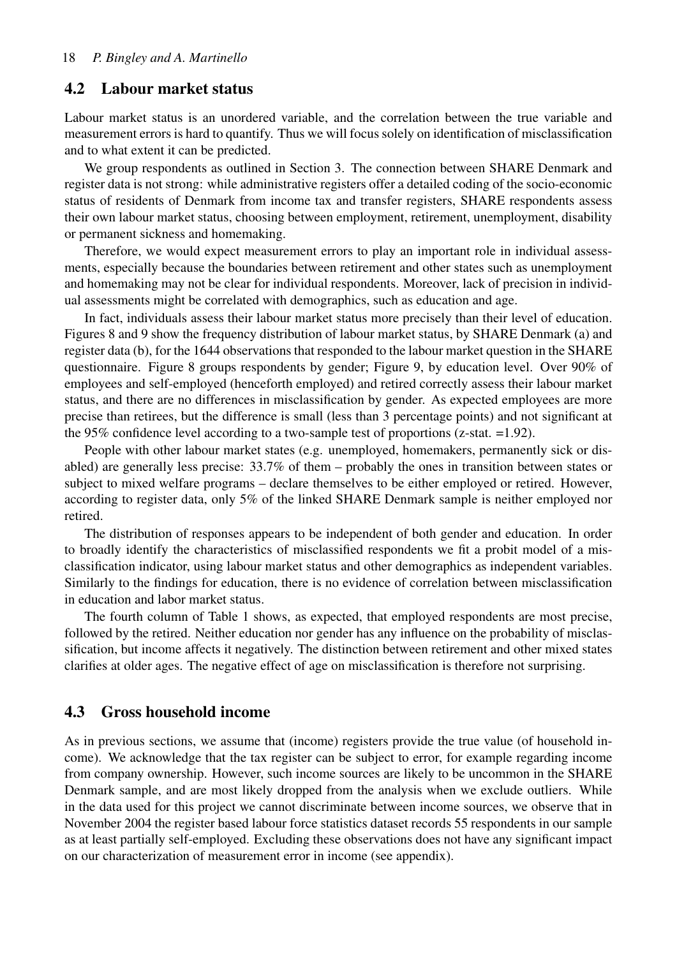#### 4.2 Labour market status

Labour market status is an unordered variable, and the correlation between the true variable and measurement errors is hard to quantify. Thus we will focus solely on identification of misclassification and to what extent it can be predicted.

We group respondents as outlined in Section 3. The connection between SHARE Denmark and register data is not strong: while administrative registers offer a detailed coding of the socio-economic status of residents of Denmark from income tax and transfer registers, SHARE respondents assess their own labour market status, choosing between employment, retirement, unemployment, disability or permanent sickness and homemaking.

Therefore, we would expect measurement errors to play an important role in individual assessments, especially because the boundaries between retirement and other states such as unemployment and homemaking may not be clear for individual respondents. Moreover, lack of precision in individual assessments might be correlated with demographics, such as education and age.

In fact, individuals assess their labour market status more precisely than their level of education. Figures [8](#page-19-0) and [9](#page-20-0) show the frequency distribution of labour market status, by SHARE Denmark (a) and register data (b), for the 1644 observations that responded to the labour market question in the SHARE questionnaire. Figure [8](#page-19-0) groups respondents by gender; Figure [9,](#page-20-0) by education level. Over 90% of employees and self-employed (henceforth employed) and retired correctly assess their labour market status, and there are no differences in misclassification by gender. As expected employees are more precise than retirees, but the difference is small (less than 3 percentage points) and not significant at the 95% confidence level according to a two-sample test of proportions (z-stat. =1.92).

People with other labour market states (e.g. unemployed, homemakers, permanently sick or disabled) are generally less precise: 33.7% of them – probably the ones in transition between states or subject to mixed welfare programs – declare themselves to be either employed or retired. However, according to register data, only 5% of the linked SHARE Denmark sample is neither employed nor retired.

The distribution of responses appears to be independent of both gender and education. In order to broadly identify the characteristics of misclassified respondents we fit a probit model of a misclassification indicator, using labour market status and other demographics as independent variables. Similarly to the findings for education, there is no evidence of correlation between misclassification in education and labor market status.

The fourth column of Table [1](#page-17-0) shows, as expected, that employed respondents are most precise, followed by the retired. Neither education nor gender has any influence on the probability of misclassification, but income affects it negatively. The distinction between retirement and other mixed states clarifies at older ages. The negative effect of age on misclassification is therefore not surprising.

#### 4.3 Gross household income

As in previous sections, we assume that (income) registers provide the true value (of household income). We acknowledge that the tax register can be subject to error, for example regarding income from company ownership. However, such income sources are likely to be uncommon in the SHARE Denmark sample, and are most likely dropped from the analysis when we exclude outliers. While in the data used for this project we cannot discriminate between income sources, we observe that in November 2004 the register based labour force statistics dataset records 55 respondents in our sample as at least partially self-employed. Excluding these observations does not have any significant impact on our characterization of measurement error in income (see appendix).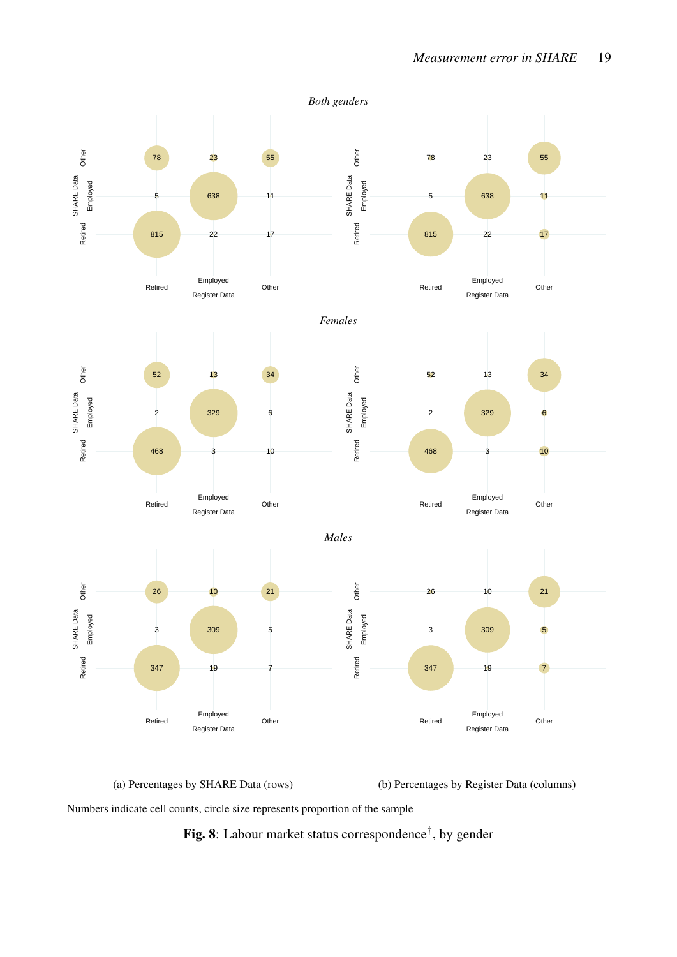<span id="page-19-0"></span>

(a) Percentages by SHARE Data (rows) (b) Percentages by Register Data (columns)

Numbers indicate cell counts, circle size represents proportion of the sample

Fig. 8: Labour market status correspondence<sup>†</sup>, by gender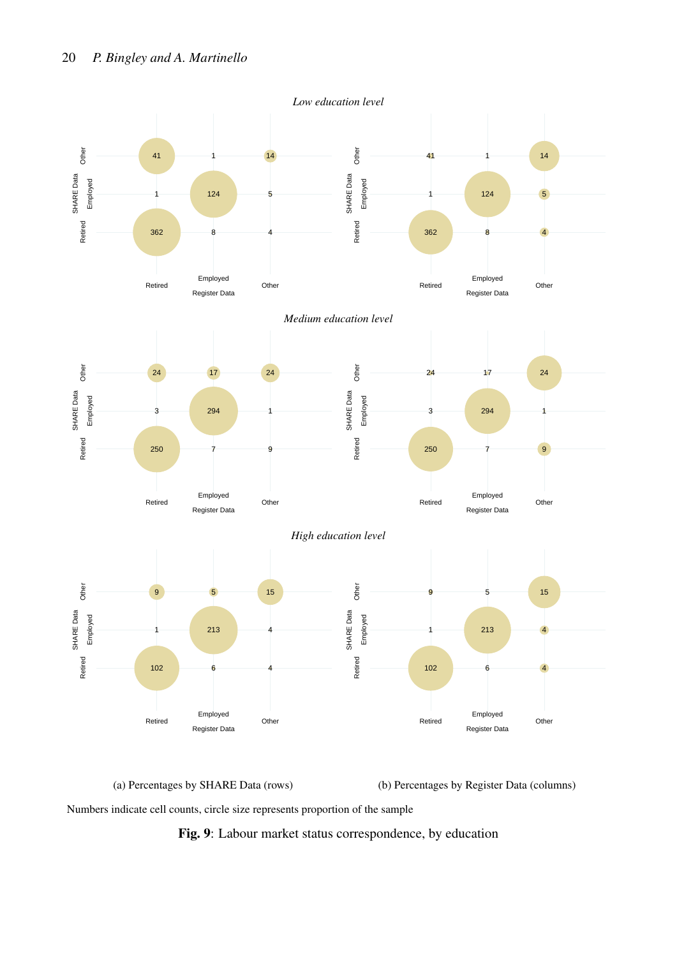<span id="page-20-0"></span>

(a) Percentages by SHARE Data (rows) (b) Percentages by Register Data (columns)

Numbers indicate cell counts, circle size represents proportion of the sample

Fig. 9: Labour market status correspondence, by education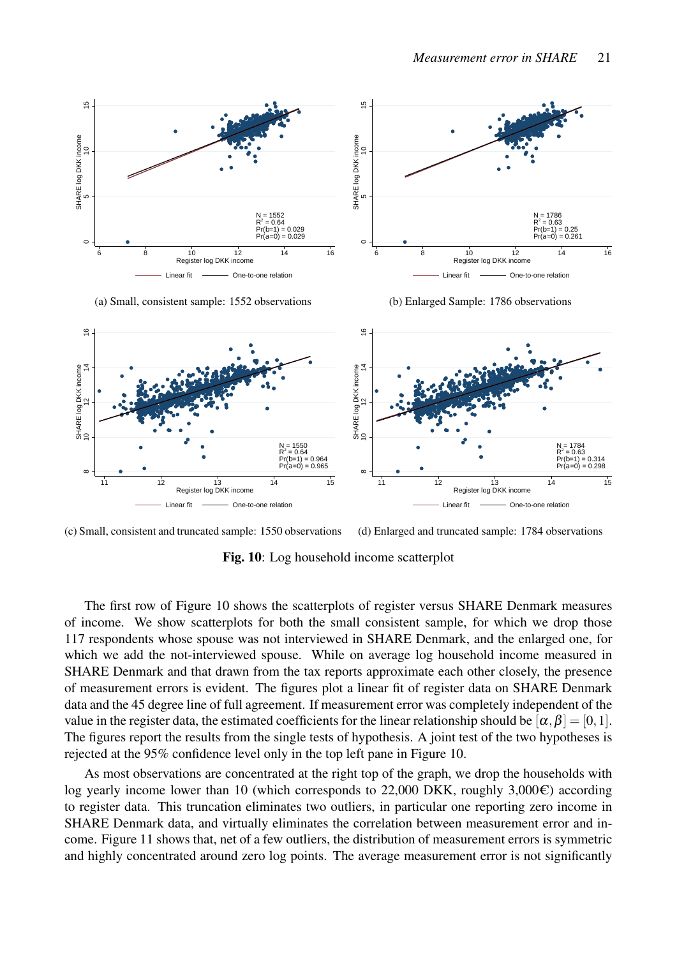<span id="page-21-0"></span>

(a) Small, consistent sample: 1552 observations

(b) Enlarged Sample: 1786 observations





Fig. 10: Log household income scatterplot

The first row of Figure [10](#page-21-0) shows the scatterplots of register versus SHARE Denmark measures of income. We show scatterplots for both the small consistent sample, for which we drop those 117 respondents whose spouse was not interviewed in SHARE Denmark, and the enlarged one, for which we add the not-interviewed spouse. While on average log household income measured in SHARE Denmark and that drawn from the tax reports approximate each other closely, the presence of measurement errors is evident. The figures plot a linear fit of register data on SHARE Denmark data and the 45 degree line of full agreement. If measurement error was completely independent of the value in the register data, the estimated coefficients for the linear relationship should be  $[\alpha, \beta] = [0, 1]$ . The figures report the results from the single tests of hypothesis. A joint test of the two hypotheses is rejected at the 95% confidence level only in the top left pane in Figure [10.](#page-21-0)

As most observations are concentrated at the right top of the graph, we drop the households with log yearly income lower than 10 (which corresponds to 22,000 DKK, roughly 3,000 $\epsilon$ ) according to register data. This truncation eliminates two outliers, in particular one reporting zero income in SHARE Denmark data, and virtually eliminates the correlation between measurement error and income. Figure [11](#page-22-0) shows that, net of a few outliers, the distribution of measurement errors is symmetric and highly concentrated around zero log points. The average measurement error is not significantly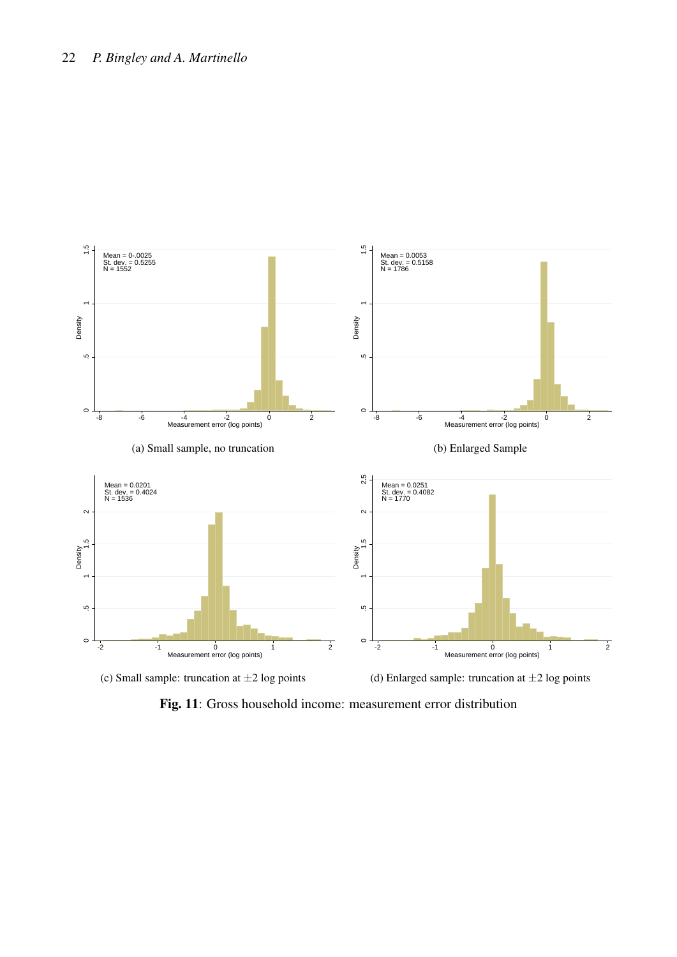<span id="page-22-0"></span>

(c) Small sample: truncation at  $\pm 2$  log points

(d) Enlarged sample: truncation at  $\pm 2$  log points

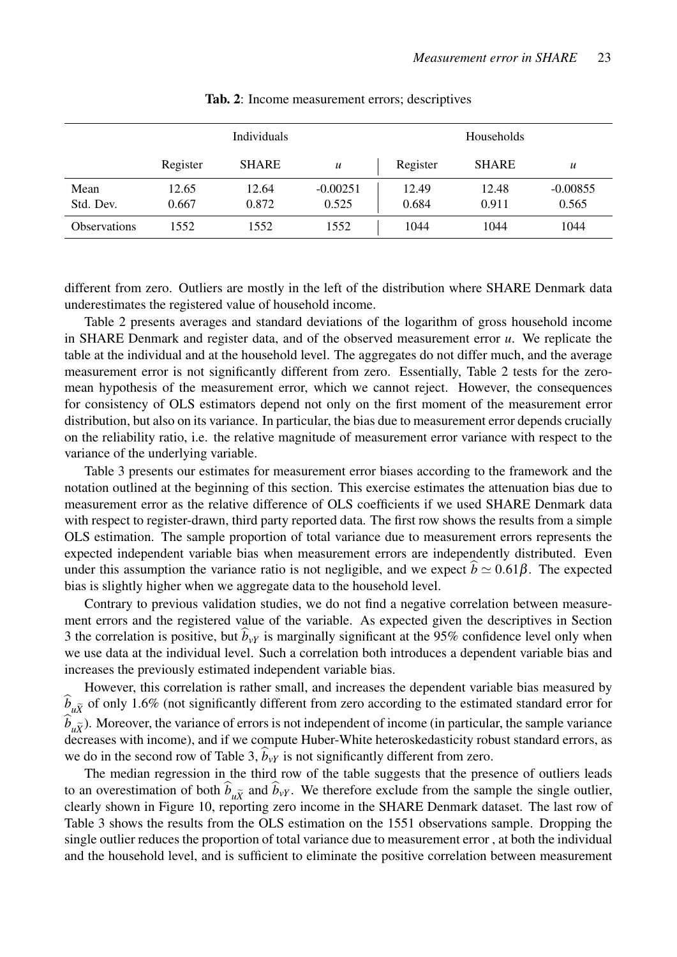<span id="page-23-0"></span>

|                     | Individuals    |                |                     | Households     |                |                     |
|---------------------|----------------|----------------|---------------------|----------------|----------------|---------------------|
|                     | Register       | <b>SHARE</b>   | $\boldsymbol{u}$    | Register       | <b>SHARE</b>   | $\boldsymbol{u}$    |
| Mean<br>Std. Dev.   | 12.65<br>0.667 | 12.64<br>0.872 | $-0.00251$<br>0.525 | 12.49<br>0.684 | 12.48<br>0.911 | $-0.00855$<br>0.565 |
| <b>Observations</b> | 1552           | 1552           | 1552                | 1044           | 1044           | 1044                |

Tab. 2: Income measurement errors; descriptives

different from zero. Outliers are mostly in the left of the distribution where SHARE Denmark data underestimates the registered value of household income.

Table [2](#page-23-0) presents averages and standard deviations of the logarithm of gross household income in SHARE Denmark and register data, and of the observed measurement error *u*. We replicate the table at the individual and at the household level. The aggregates do not differ much, and the average measurement error is not significantly different from zero. Essentially, Table [2](#page-23-0) tests for the zeromean hypothesis of the measurement error, which we cannot reject. However, the consequences for consistency of OLS estimators depend not only on the first moment of the measurement error distribution, but also on its variance. In particular, the bias due to measurement error depends crucially on the reliability ratio, i.e. the relative magnitude of measurement error variance with respect to the variance of the underlying variable.

Table [3](#page-24-0) presents our estimates for measurement error biases according to the framework and the notation outlined at the beginning of this section. This exercise estimates the attenuation bias due to measurement error as the relative difference of OLS coefficients if we used SHARE Denmark data with respect to register-drawn, third party reported data. The first row shows the results from a simple OLS estimation. The sample proportion of total variance due to measurement errors represents the expected independent variable bias when measurement errors are independently distributed. Even under this assumption the variance ratio is not negligible, and we expect  $b \simeq 0.61\beta$ . The expected bias is slightly higher when we aggregate data to the household level.

Contrary to previous validation studies, we do not find a negative correlation between measurement errors and the registered value of the variable. As expected given the descriptives in Section 3 the correlation is positive, but  $b_y$ *y* is marginally significant at the 95% confidence level only when we use data at the individual level. Such a correlation both introduces a dependent variable bias and increases the previously estimated independent variable bias.

However, this correlation is rather small, and increases the dependent variable bias measured by  $\hat{b}_{\mu\tilde{\chi}}$  of only 1.6% (not significantly different from zero according to the estimated standard error for  $\widehat{b}_{\mu\widetilde{X}}$ ). Moreover, the variance of errors is not independent of income (in particular, the sample variance decreases with income), and if we compute Huber-White heteroskedasticity robust standard errors, as we do in the second row of Table [3,](#page-24-0)  $b_{vY}$  is not significantly different from zero.

The median regression in the third row of the table suggests that the presence of outliers leads to an overestimation of both  $\hat{b}_{\mu\tilde{Y}}$  and  $\hat{b}_{\nu Y}$ . We therefore exclude from the sample the single outlier, clearly shown in Figure [10,](#page-21-0) reporting zero income in the SHARE Denmark dataset. The last row of Table [3](#page-24-0) shows the results from the OLS estimation on the 1551 observations sample. Dropping the single outlier reduces the proportion of total variance due to measurement error , at both the individual and the household level, and is sufficient to eliminate the positive correlation between measurement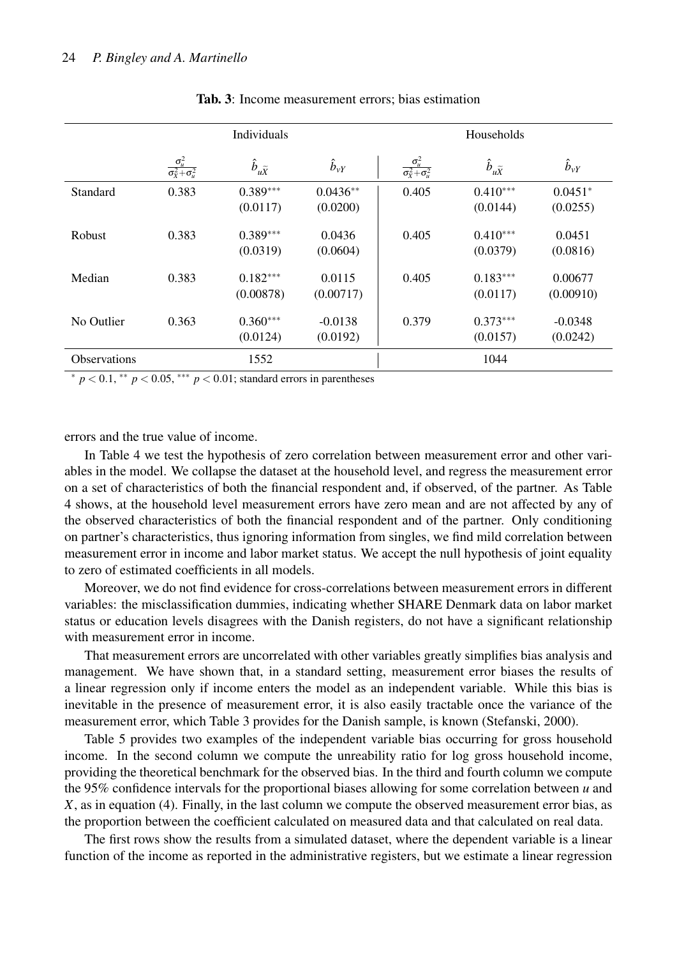<span id="page-24-0"></span>

|                     | <b>Individuals</b>                           |                            |                        | Households                                   |                            |                       |  |
|---------------------|----------------------------------------------|----------------------------|------------------------|----------------------------------------------|----------------------------|-----------------------|--|
|                     | $\frac{\sigma_u^2}{\sigma_X^2 + \sigma_u^2}$ | $\hat{b}_{u\widetilde{X}}$ | $\hat{b}_{vY}$         | $\frac{\sigma_u^2}{\sigma_X^2 + \sigma_u^2}$ | $\hat{b}_{u\widetilde{X}}$ | $\hat{b}_{\rm vY}$    |  |
| Standard            | 0.383                                        | $0.389***$<br>(0.0117)     | $0.0436**$<br>(0.0200) | 0.405                                        | $0.410***$<br>(0.0144)     | $0.0451*$<br>(0.0255) |  |
| <b>Robust</b>       | 0.383                                        | $0.389***$<br>(0.0319)     | 0.0436<br>(0.0604)     | 0.405                                        | $0.410***$<br>(0.0379)     | 0.0451<br>(0.0816)    |  |
| Median              | 0.383                                        | $0.182***$<br>(0.00878)    | 0.0115<br>(0.00717)    | 0.405                                        | $0.183***$<br>(0.0117)     | 0.00677<br>(0.00910)  |  |
| No Outlier          | 0.363                                        | $0.360***$<br>(0.0124)     | $-0.0138$<br>(0.0192)  | 0.379                                        | $0.373***$<br>(0.0157)     | $-0.0348$<br>(0.0242) |  |
| <b>Observations</b> |                                              | 1552                       |                        |                                              | 1044                       |                       |  |

#### Tab. 3: Income measurement errors; bias estimation

<sup>∗</sup> *p* < 0.1, ∗∗ *p* < 0.05, ∗∗∗ *p* < 0.01; standard errors in parentheses

errors and the true value of income.

In Table [4](#page-25-0) we test the hypothesis of zero correlation between measurement error and other variables in the model. We collapse the dataset at the household level, and regress the measurement error on a set of characteristics of both the financial respondent and, if observed, of the partner. As Table [4](#page-25-0) shows, at the household level measurement errors have zero mean and are not affected by any of the observed characteristics of both the financial respondent and of the partner. Only conditioning on partner's characteristics, thus ignoring information from singles, we find mild correlation between measurement error in income and labor market status. We accept the null hypothesis of joint equality to zero of estimated coefficients in all models.

Moreover, we do not find evidence for cross-correlations between measurement errors in different variables: the misclassification dummies, indicating whether SHARE Denmark data on labor market status or education levels disagrees with the Danish registers, do not have a significant relationship with measurement error in income.

That measurement errors are uncorrelated with other variables greatly simplifies bias analysis and management. We have shown that, in a standard setting, measurement error biases the results of a linear regression only if income enters the model as an independent variable. While this bias is inevitable in the presence of measurement error, it is also easily tractable once the variance of the measurement error, which Table [3](#page-24-0) provides for the Danish sample, is known [\(Stefanski, 2000\)](#page-29-1).

Table [5](#page-26-1) provides two examples of the independent variable bias occurring for gross household income. In the second column we compute the unreability ratio for log gross household income, providing the theoretical benchmark for the observed bias. In the third and fourth column we compute the 95% confidence intervals for the proportional biases allowing for some correlation between *u* and *X*, as in equation [\(4\)](#page-14-0). Finally, in the last column we compute the observed measurement error bias, as the proportion between the coefficient calculated on measured data and that calculated on real data.

The first rows show the results from a simulated dataset, where the dependent variable is a linear function of the income as reported in the administrative registers, but we estimate a linear regression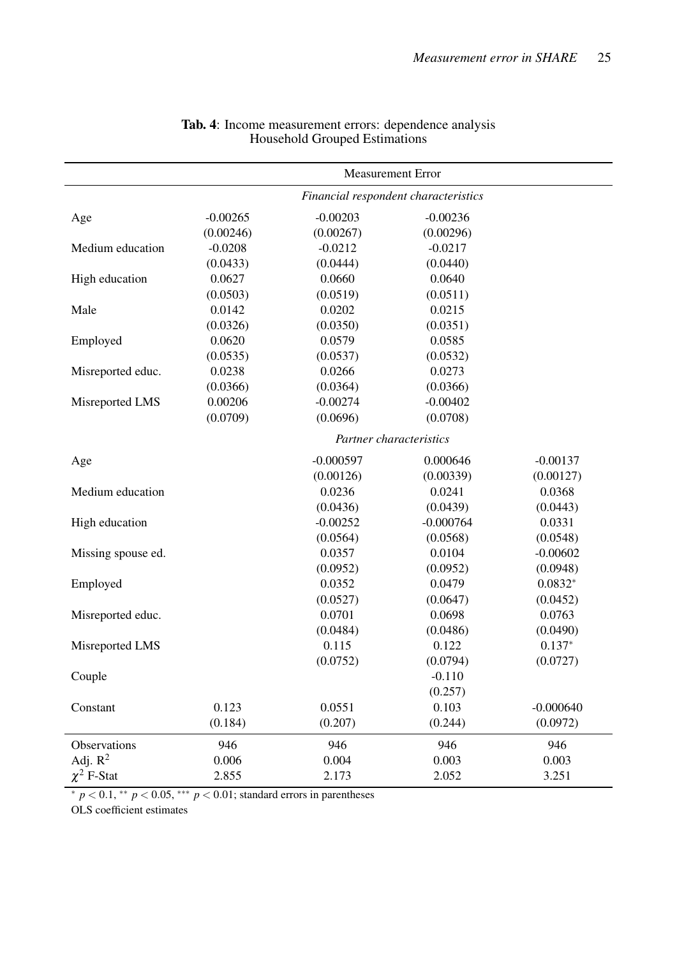<span id="page-25-0"></span>

|                    | <b>Measurement Error</b>             |                         |             |             |  |
|--------------------|--------------------------------------|-------------------------|-------------|-------------|--|
|                    | Financial respondent characteristics |                         |             |             |  |
| Age                | $-0.00265$                           | $-0.00203$              | $-0.00236$  |             |  |
|                    | (0.00246)                            | (0.00267)               | (0.00296)   |             |  |
| Medium education   | $-0.0208$                            | $-0.0212$               | $-0.0217$   |             |  |
|                    | (0.0433)                             | (0.0444)                | (0.0440)    |             |  |
| High education     | 0.0627                               | 0.0660                  | 0.0640      |             |  |
|                    | (0.0503)                             | (0.0519)                | (0.0511)    |             |  |
| Male               | 0.0142                               | 0.0202                  | 0.0215      |             |  |
|                    | (0.0326)                             | (0.0350)                | (0.0351)    |             |  |
| Employed           | 0.0620                               | 0.0579                  | 0.0585      |             |  |
|                    | (0.0535)                             | (0.0537)                | (0.0532)    |             |  |
| Misreported educ.  | 0.0238                               | 0.0266                  | 0.0273      |             |  |
|                    | (0.0366)                             | (0.0364)                | (0.0366)    |             |  |
| Misreported LMS    | 0.00206                              | $-0.00274$              | $-0.00402$  |             |  |
|                    | (0.0709)                             | (0.0696)                | (0.0708)    |             |  |
|                    |                                      | Partner characteristics |             |             |  |
| Age                |                                      | $-0.000597$             | 0.000646    | $-0.00137$  |  |
|                    |                                      | (0.00126)               | (0.00339)   | (0.00127)   |  |
| Medium education   |                                      | 0.0236                  | 0.0241      | 0.0368      |  |
|                    |                                      | (0.0436)                | (0.0439)    | (0.0443)    |  |
| High education     |                                      | $-0.00252$              | $-0.000764$ | 0.0331      |  |
|                    |                                      | (0.0564)                | (0.0568)    | (0.0548)    |  |
| Missing spouse ed. |                                      | 0.0357                  | 0.0104      | $-0.00602$  |  |
|                    |                                      | (0.0952)                | (0.0952)    | (0.0948)    |  |
| Employed           |                                      | 0.0352                  | 0.0479      | $0.0832*$   |  |
|                    |                                      | (0.0527)                | (0.0647)    | (0.0452)    |  |
| Misreported educ.  |                                      | 0.0701                  | 0.0698      | 0.0763      |  |
|                    |                                      | (0.0484)                | (0.0486)    | (0.0490)    |  |
| Misreported LMS    |                                      | 0.115                   | 0.122       | $0.137*$    |  |
|                    |                                      | (0.0752)                | (0.0794)    | (0.0727)    |  |
| Couple             |                                      |                         | $-0.110$    |             |  |
|                    |                                      |                         | (0.257)     |             |  |
| Constant           | 0.123                                | 0.0551                  | 0.103       | $-0.000640$ |  |
|                    | (0.184)                              | (0.207)                 | (0.244)     | (0.0972)    |  |
| Observations       | 946                                  | 946                     | 946         | 946         |  |
| Adj. $R^2$         | 0.006                                | 0.004                   | 0.003       | 0.003       |  |
| $\chi^2$ F-Stat    | 2.855                                | 2.173                   | 2.052       | 3.251       |  |

#### Tab. 4: Income measurement errors: dependence analysis Household Grouped Estimations

<sup>∗</sup> *p* < 0.1, ∗∗ *p* < 0.05, ∗∗∗ *p* < 0.01; standard errors in parentheses

OLS coefficient estimates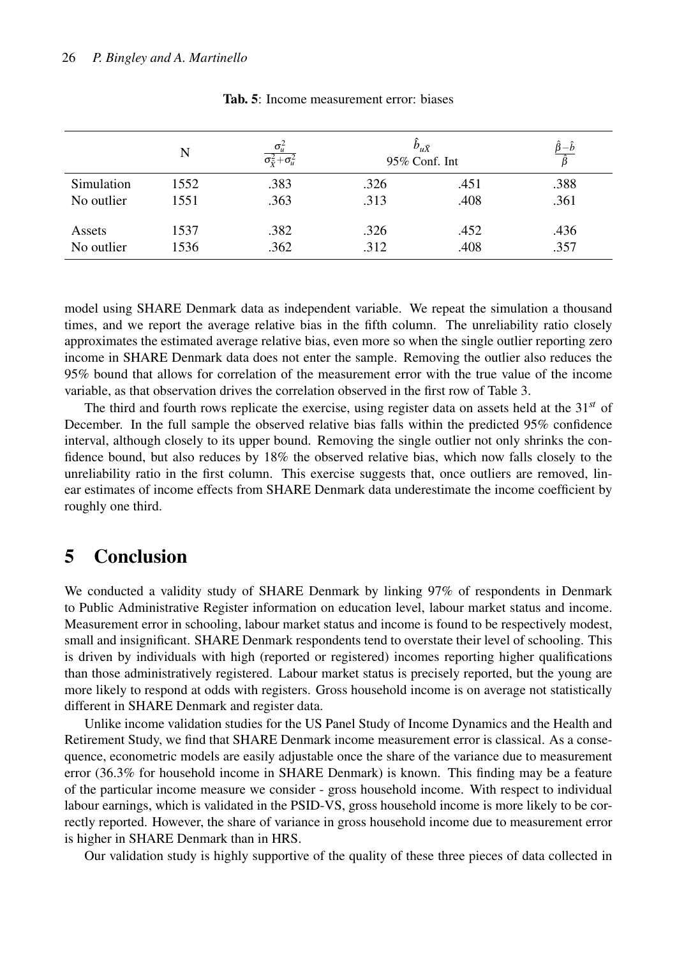<span id="page-26-1"></span>

|            | N    | $\sigma_{ii}^2$<br>$\overline{\sigma_{\tilde{\mathbf{y}}}^2 + \sigma_{\mathbf{u}}^2}$ | $b_{u\tilde{X}}$<br>95% Conf. Int |      | $\hat{\beta}\!-\!\hat{b}$<br>Þ |
|------------|------|---------------------------------------------------------------------------------------|-----------------------------------|------|--------------------------------|
| Simulation | 1552 | .383                                                                                  | .326                              | .451 | .388                           |
| No outlier | 1551 | .363                                                                                  | .313                              | .408 | .361                           |
| Assets     | 1537 | .382                                                                                  | .326                              | .452 | .436                           |
| No outlier | 1536 | .362                                                                                  | .312                              | .408 | .357                           |

Tab. 5: Income measurement error: biases

model using SHARE Denmark data as independent variable. We repeat the simulation a thousand times, and we report the average relative bias in the fifth column. The unreliability ratio closely approximates the estimated average relative bias, even more so when the single outlier reporting zero income in SHARE Denmark data does not enter the sample. Removing the outlier also reduces the 95% bound that allows for correlation of the measurement error with the true value of the income variable, as that observation drives the correlation observed in the first row of Table [3.](#page-24-0)

The third and fourth rows replicate the exercise, using register data on assets held at the 31*st* of December. In the full sample the observed relative bias falls within the predicted 95% confidence interval, although closely to its upper bound. Removing the single outlier not only shrinks the confidence bound, but also reduces by 18% the observed relative bias, which now falls closely to the unreliability ratio in the first column. This exercise suggests that, once outliers are removed, linear estimates of income effects from SHARE Denmark data underestimate the income coefficient by roughly one third.

## <span id="page-26-0"></span>5 Conclusion

We conducted a validity study of SHARE Denmark by linking 97% of respondents in Denmark to Public Administrative Register information on education level, labour market status and income. Measurement error in schooling, labour market status and income is found to be respectively modest, small and insignificant. SHARE Denmark respondents tend to overstate their level of schooling. This is driven by individuals with high (reported or registered) incomes reporting higher qualifications than those administratively registered. Labour market status is precisely reported, but the young are more likely to respond at odds with registers. Gross household income is on average not statistically different in SHARE Denmark and register data.

Unlike income validation studies for the US Panel Study of Income Dynamics and the Health and Retirement Study, we find that SHARE Denmark income measurement error is classical. As a consequence, econometric models are easily adjustable once the share of the variance due to measurement error (36.3% for household income in SHARE Denmark) is known. This finding may be a feature of the particular income measure we consider - gross household income. With respect to individual labour earnings, which is validated in the PSID-VS, gross household income is more likely to be correctly reported. However, the share of variance in gross household income due to measurement error is higher in SHARE Denmark than in HRS.

Our validation study is highly supportive of the quality of these three pieces of data collected in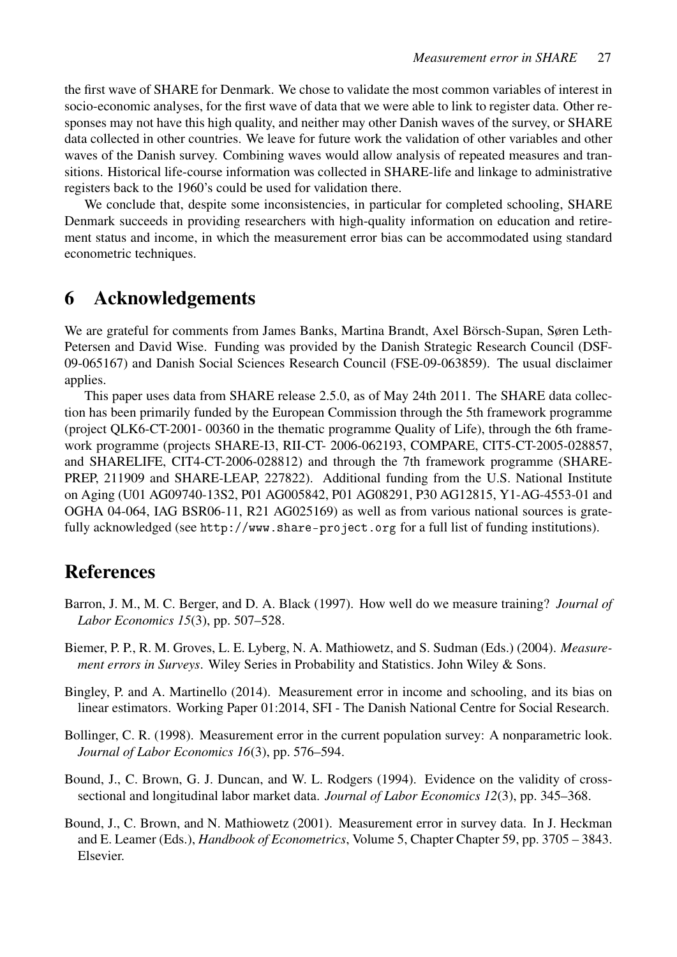the first wave of SHARE for Denmark. We chose to validate the most common variables of interest in socio-economic analyses, for the first wave of data that we were able to link to register data. Other responses may not have this high quality, and neither may other Danish waves of the survey, or SHARE data collected in other countries. We leave for future work the validation of other variables and other waves of the Danish survey. Combining waves would allow analysis of repeated measures and transitions. Historical life-course information was collected in SHARE-life and linkage to administrative registers back to the 1960's could be used for validation there.

We conclude that, despite some inconsistencies, in particular for completed schooling, SHARE Denmark succeeds in providing researchers with high-quality information on education and retirement status and income, in which the measurement error bias can be accommodated using standard econometric techniques.

## 6 Acknowledgements

We are grateful for comments from James Banks, Martina Brandt, Axel Börsch-Supan, Søren Leth-Petersen and David Wise. Funding was provided by the Danish Strategic Research Council (DSF-09-065167) and Danish Social Sciences Research Council (FSE-09-063859). The usual disclaimer applies.

This paper uses data from SHARE release 2.5.0, as of May 24th 2011. The SHARE data collection has been primarily funded by the European Commission through the 5th framework programme (project QLK6-CT-2001- 00360 in the thematic programme Quality of Life), through the 6th framework programme (projects SHARE-I3, RII-CT- 2006-062193, COMPARE, CIT5-CT-2005-028857, and SHARELIFE, CIT4-CT-2006-028812) and through the 7th framework programme (SHARE-PREP, 211909 and SHARE-LEAP, 227822). Additional funding from the U.S. National Institute on Aging (U01 AG09740-13S2, P01 AG005842, P01 AG08291, P30 AG12815, Y1-AG-4553-01 and OGHA 04-064, IAG BSR06-11, R21 AG025169) as well as from various national sources is gratefully acknowledged (see <http://www.share-project.org> for a full list of funding institutions).

## References

- <span id="page-27-2"></span>Barron, J. M., M. C. Berger, and D. A. Black (1997). How well do we measure training? *Journal of Labor Economics 15*(3), pp. 507–528.
- <span id="page-27-1"></span>Biemer, P. P., R. M. Groves, L. E. Lyberg, N. A. Mathiowetz, and S. Sudman (Eds.) (2004). *Measurement errors in Surveys*. Wiley Series in Probability and Statistics. John Wiley & Sons.
- <span id="page-27-4"></span>Bingley, P. and A. Martinello (2014). Measurement error in income and schooling, and its bias on linear estimators. Working Paper 01:2014, SFI - The Danish National Centre for Social Research.
- <span id="page-27-5"></span>Bollinger, C. R. (1998). Measurement error in the current population survey: A nonparametric look. *Journal of Labor Economics 16*(3), pp. 576–594.
- <span id="page-27-3"></span>Bound, J., C. Brown, G. J. Duncan, and W. L. Rodgers (1994). Evidence on the validity of crosssectional and longitudinal labor market data. *Journal of Labor Economics 12*(3), pp. 345–368.
- <span id="page-27-0"></span>Bound, J., C. Brown, and N. Mathiowetz (2001). Measurement error in survey data. In J. Heckman and E. Leamer (Eds.), *Handbook of Econometrics*, Volume 5, Chapter Chapter 59, pp. 3705 – 3843. Elsevier.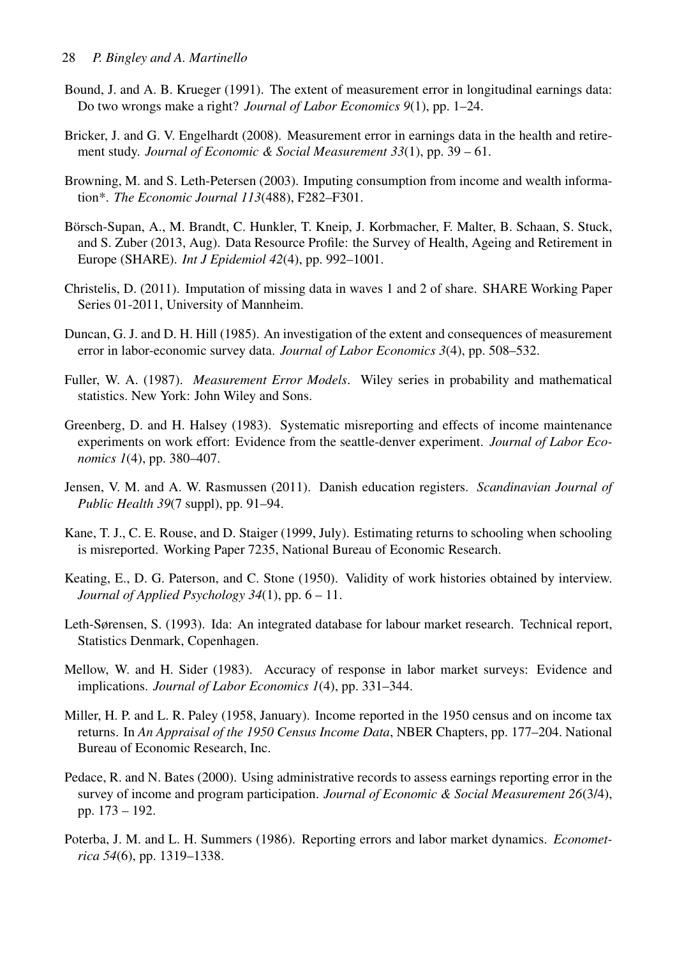- <span id="page-28-2"></span>Bound, J. and A. B. Krueger (1991). The extent of measurement error in longitudinal earnings data: Do two wrongs make a right? *Journal of Labor Economics 9*(1), pp. 1–24.
- <span id="page-28-4"></span>Bricker, J. and G. V. Engelhardt (2008). Measurement error in earnings data in the health and retirement study. *Journal of Economic & Social Measurement 33*(1), pp. 39 – 61.
- <span id="page-28-6"></span>Browning, M. and S. Leth-Petersen (2003). Imputing consumption from income and wealth information\*. *The Economic Journal 113*(488), F282–F301.
- <span id="page-28-14"></span>Börsch-Supan, A., M. Brandt, C. Hunkler, T. Kneip, J. Korbmacher, F. Malter, B. Schaan, S. Stuck, and S. Zuber (2013, Aug). Data Resource Profile: the Survey of Health, Ageing and Retirement in Europe (SHARE). *Int J Epidemiol 42*(4), pp. 992–1001.
- <span id="page-28-15"></span>Christelis, D. (2011). Imputation of missing data in waves 1 and 2 of share. SHARE Working Paper Series 01-2011, University of Mannheim.
- <span id="page-28-1"></span>Duncan, G. J. and D. H. Hill (1985). An investigation of the extent and consequences of measurement error in labor-economic survey data. *Journal of Labor Economics 3*(4), pp. 508–532.
- <span id="page-28-0"></span>Fuller, W. A. (1987). *Measurement Error Models*. Wiley series in probability and mathematical statistics. New York: John Wiley and Sons.
- <span id="page-28-11"></span>Greenberg, D. and H. Halsey (1983). Systematic misreporting and effects of income maintenance experiments on work effort: Evidence from the seattle-denver experiment. *Journal of Labor Economics 1*(4), pp. 380–407.
- <span id="page-28-5"></span>Jensen, V. M. and A. W. Rasmussen (2011). Danish education registers. *Scandinavian Journal of Public Health 39*(7 suppl), pp. 91–94.
- <span id="page-28-13"></span>Kane, T. J., C. E. Rouse, and D. Staiger (1999, July). Estimating returns to schooling when schooling is misreported. Working Paper 7235, National Bureau of Economic Research.
- <span id="page-28-8"></span>Keating, E., D. G. Paterson, and C. Stone (1950). Validity of work histories obtained by interview. *Journal of Applied Psychology 34*(1), pp. 6 – 11.
- <span id="page-28-7"></span>Leth-Sørensen, S. (1993). Ida: An integrated database for labour market research. Technical report, Statistics Denmark, Copenhagen.
- <span id="page-28-10"></span>Mellow, W. and H. Sider (1983). Accuracy of response in labor market surveys: Evidence and implications. *Journal of Labor Economics 1*(4), pp. 331–344.
- <span id="page-28-9"></span>Miller, H. P. and L. R. Paley (1958, January). Income reported in the 1950 census and on income tax returns. In *An Appraisal of the 1950 Census Income Data*, NBER Chapters, pp. 177–204. National Bureau of Economic Research, Inc.
- <span id="page-28-3"></span>Pedace, R. and N. Bates (2000). Using administrative records to assess earnings reporting error in the survey of income and program participation. *Journal of Economic & Social Measurement 26*(3/4), pp. 173 – 192.
- <span id="page-28-12"></span>Poterba, J. M. and L. H. Summers (1986). Reporting errors and labor market dynamics. *Econometrica 54*(6), pp. 1319–1338.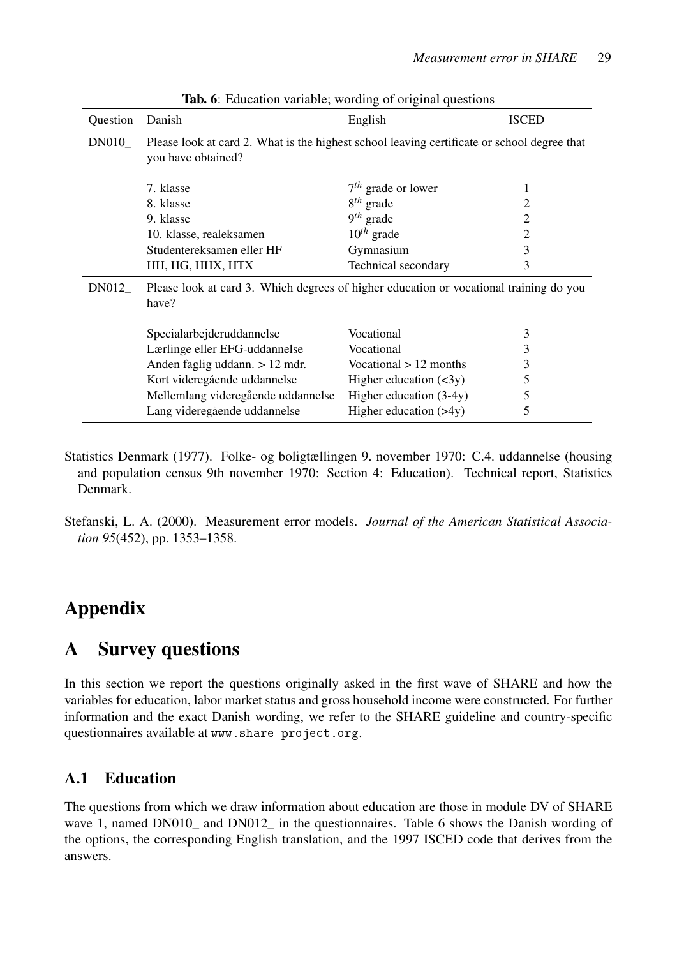<span id="page-29-2"></span>

| Question | Danish                                                                                                            | English                      | <b>ISCED</b>   |  |  |  |
|----------|-------------------------------------------------------------------------------------------------------------------|------------------------------|----------------|--|--|--|
| DN010    | Please look at card 2. What is the highest school leaving certificate or school degree that<br>you have obtained? |                              |                |  |  |  |
|          | 7. klasse                                                                                                         | $7th$ grade or lower         | 1              |  |  |  |
|          | 8. klasse                                                                                                         | $8th$ grade                  | 2              |  |  |  |
|          | 9. klasse                                                                                                         | $9th$ grade                  | 2              |  |  |  |
|          | 10. klasse, realeksamen                                                                                           | $10^{th}$ grade              | $\overline{2}$ |  |  |  |
|          | Studentereksamen eller HF                                                                                         | Gymnasium                    | 3              |  |  |  |
|          | HH, HG, HHX, HTX                                                                                                  | Technical secondary          | 3              |  |  |  |
| DN012    | Please look at card 3. Which degrees of higher education or vocational training do you<br>have?                   |                              |                |  |  |  |
|          | Specialarbejderuddannelse                                                                                         | Vocational                   | 3              |  |  |  |
|          | Lærlinge eller EFG-uddannelse                                                                                     | Vocational                   | 3              |  |  |  |
|          | Anden faglig uddann. $> 12$ mdr.                                                                                  | Vocational $> 12$ months     | 3              |  |  |  |
|          | Kort videregående uddannelse                                                                                      | Higher education $(\leq 3y)$ | 5              |  |  |  |
|          | Mellemlang videregående uddannelse                                                                                | Higher education $(3-4y)$    | 5              |  |  |  |
|          | Lang videregående uddannelse                                                                                      | Higher education $(>4y)$     | 5              |  |  |  |

Tab. 6: Education variable; wording of original questions

- <span id="page-29-0"></span>Statistics Denmark (1977). Folke- og boligtællingen 9. november 1970: C.4. uddannelse (housing and population census 9th november 1970: Section 4: Education). Technical report, Statistics Denmark.
- <span id="page-29-1"></span>Stefanski, L. A. (2000). Measurement error models. *Journal of the American Statistical Association 95*(452), pp. 1353–1358.

## Appendix

## A Survey questions

In this section we report the questions originally asked in the first wave of SHARE and how the variables for education, labor market status and gross household income were constructed. For further information and the exact Danish wording, we refer to the SHARE guideline and country-specific questionnaires available at <www.share-project.org>.

## A.1 Education

The questions from which we draw information about education are those in module DV of SHARE wave 1, named DN010<sub>\_</sub> and DN012<sub>\_</sub> in the questionnaires. Table [6](#page-29-2) shows the Danish wording of the options, the corresponding English translation, and the 1997 ISCED code that derives from the answers.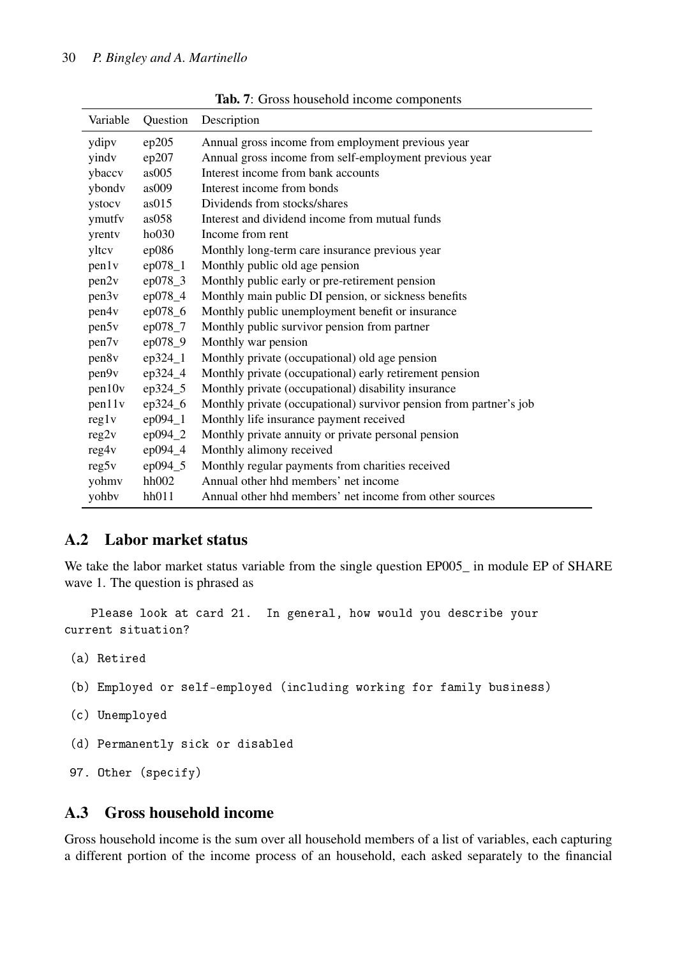<span id="page-30-0"></span>

| Variable          | Question  | Description                                                        |
|-------------------|-----------|--------------------------------------------------------------------|
| ydipv             | ep205     | Annual gross income from employment previous year                  |
| yindv             | ep207     | Annual gross income from self-employment previous year             |
| ybaccv            | as005     | Interest income from bank accounts                                 |
| ybondy            | as009     | Interest income from bonds                                         |
| ystocv            | as015     | Dividends from stocks/shares                                       |
| ymutfy            | as058     | Interest and dividend income from mutual funds                     |
| yrenty            | ho030     | Income from rent                                                   |
| yltcv             | ep086     | Monthly long-term care insurance previous year                     |
| pen1v             | $ep078_1$ | Monthly public old age pension                                     |
| pen2v             | $ep078_3$ | Monthly public early or pre-retirement pension                     |
| pen3v             | ep078_4   | Monthly main public DI pension, or sickness benefits               |
| pen4v             | ep078_6   | Monthly public unemployment benefit or insurance                   |
| pen5v             | ep078_7   | Monthly public survivor pension from partner                       |
| pen7 <sub>v</sub> | ep078_9   | Monthly war pension                                                |
| pen8v             | $ep324_1$ | Monthly private (occupational) old age pension                     |
| pen9v             | $ep324_4$ | Monthly private (occupational) early retirement pension            |
| pen10v            | ep324_5   | Monthly private (occupational) disability insurance                |
| pen11v            | ep324_6   | Monthly private (occupational) survivor pension from partner's job |
| $\text{reg1v}$    | $ep094_1$ | Monthly life insurance payment received                            |
| reg2v             | $ep094_2$ | Monthly private annuity or private personal pension                |
| reg4v             | ep094_4   | Monthly alimony received                                           |
| $\text{reg5v}$    | ep094_5   | Monthly regular payments from charities received                   |
| yohmv             | hh002     | Annual other hhd members' net income                               |
| yohby             | hh011     | Annual other hhd members' net income from other sources            |

Tab. 7: Gross household income components

#### A.2 Labor market status

We take the labor market status variable from the single question EP005\_ in module EP of SHARE wave 1. The question is phrased as

Please look at card 21. In general, how would you describe your current situation?

(a) Retired

(b) Employed or self-employed (including working for family business)

- (c) Unemployed
- (d) Permanently sick or disabled

```
97. Other (specify)
```
#### A.3 Gross household income

Gross household income is the sum over all household members of a list of variables, each capturing a different portion of the income process of an household, each asked separately to the financial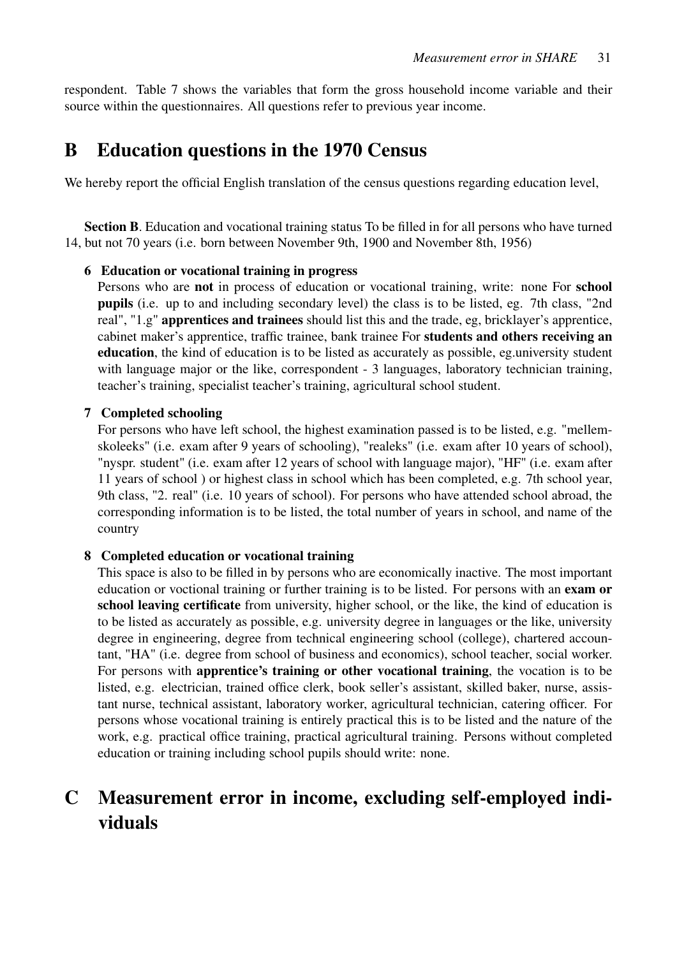respondent. Table [7](#page-30-0) shows the variables that form the gross household income variable and their source within the questionnaires. All questions refer to previous year income.

## B Education questions in the 1970 Census

We hereby report the official English translation of the census questions regarding education level,

Section B. Education and vocational training status To be filled in for all persons who have turned 14, but not 70 years (i.e. born between November 9th, 1900 and November 8th, 1956)

#### 6 Education or vocational training in progress

Persons who are not in process of education or vocational training, write: none For school pupils (i.e. up to and including secondary level) the class is to be listed, eg. 7th class, "2nd real", "1.g" apprentices and trainees should list this and the trade, eg, bricklayer's apprentice, cabinet maker's apprentice, traffic trainee, bank trainee For students and others receiving an education, the kind of education is to be listed as accurately as possible, eg.university student with language major or the like, correspondent - 3 languages, laboratory technician training, teacher's training, specialist teacher's training, agricultural school student.

#### 7 Completed schooling

For persons who have left school, the highest examination passed is to be listed, e.g. "mellemskoleeks" (i.e. exam after 9 years of schooling), "realeks" (i.e. exam after 10 years of school), "nyspr. student" (i.e. exam after 12 years of school with language major), "HF" (i.e. exam after 11 years of school ) or highest class in school which has been completed, e.g. 7th school year, 9th class, "2. real" (i.e. 10 years of school). For persons who have attended school abroad, the corresponding information is to be listed, the total number of years in school, and name of the country

#### 8 Completed education or vocational training

This space is also to be filled in by persons who are economically inactive. The most important education or voctional training or further training is to be listed. For persons with an exam or school leaving certificate from university, higher school, or the like, the kind of education is to be listed as accurately as possible, e.g. university degree in languages or the like, university degree in engineering, degree from technical engineering school (college), chartered accountant, "HA" (i.e. degree from school of business and economics), school teacher, social worker. For persons with apprentice's training or other vocational training, the vocation is to be listed, e.g. electrician, trained office clerk, book seller's assistant, skilled baker, nurse, assistant nurse, technical assistant, laboratory worker, agricultural technician, catering officer. For persons whose vocational training is entirely practical this is to be listed and the nature of the work, e.g. practical office training, practical agricultural training. Persons without completed education or training including school pupils should write: none.

## C Measurement error in income, excluding self-employed individuals